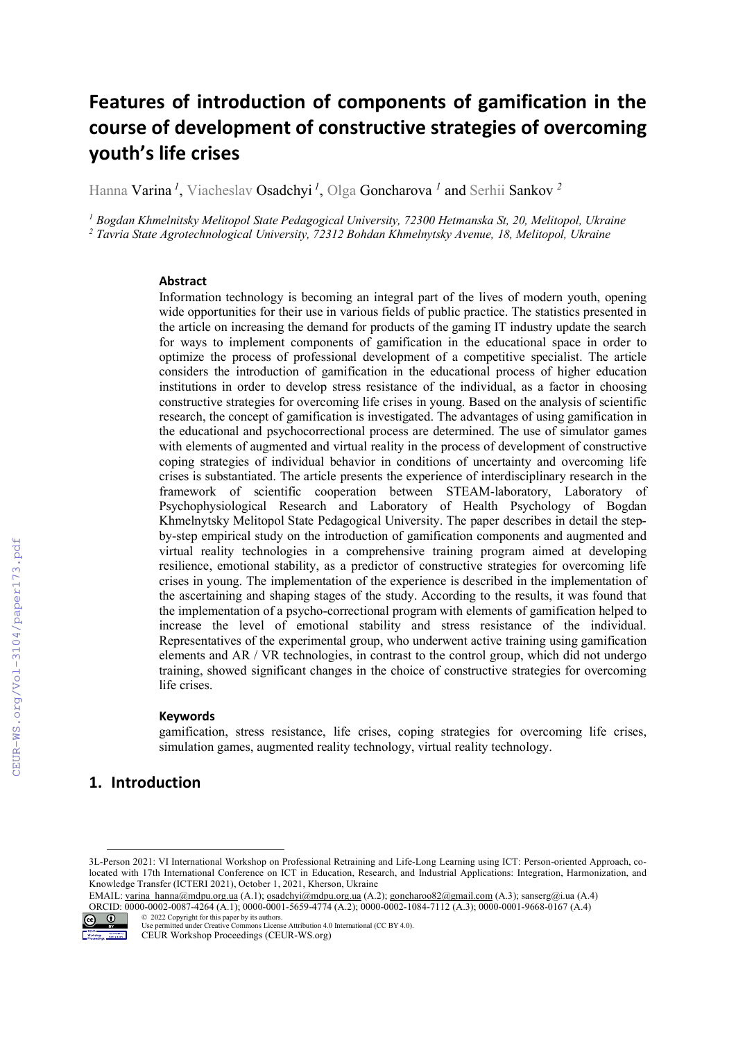# Features of introduction of components of gamification in the course of development of constructive strategies of overcoming youth's life crises

Hanna Varina *<sup>1</sup>* , Viacheslav Osadchyi *<sup>1</sup>* , Olga Goncharova *<sup>1</sup>* and Serhii Sankov *<sup>2</sup>*

<sup>1</sup> Bogdan Khmelnitsky Melitopol State Pedagogical University, 72300 Hetmanska St, 20, Melitopol, Ukraine <sup>2</sup> Tavria State Agrotechnological University, 72312 Bohdan Khmelnytsky Avenue, 18, Melitopol, Ukraine

#### Abstract

Information technology is becoming an integral part of the lives of modern youth, opening wide opportunities for their use in various fields of public practice. The statistics presented in the article on increasing the demand for products of the gaming IT industry update the search for ways to implement components of gamification in the educational space in order to optimize the process of professional development of a competitive specialist. The article considers the introduction of gamification in the educational process of higher education institutions in order to develop stress resistance of the individual, as a factor in choosing constructive strategies for overcoming life crises in young. Based on the analysis of scientific research, the concept of gamification is investigated. The advantages of using gamification in the educational and psychocorrectional process are determined. The use of simulator games with elements of augmented and virtual reality in the process of development of constructive coping strategies of individual behavior in conditions of uncertainty and overcoming life crises is substantiated. The article presents the experience of interdisciplinary research in the framework of scientific cooperation between STEAM-laboratory, Laboratory of Psychophysiological Research and Laboratory of Health Psychology of Bogdan Khmelnytsky Melitopol State Pedagogical University. The paper describes in detail the stepby-step empirical study on the introduction of gamification components and augmented and virtual reality technologies in a comprehensive training program aimed at developing resilience, emotional stability, as a predictor of constructive strategies for overcoming life crises in young. The implementation of the experience is described in the implementation of the ascertaining and shaping stages of the study. According to the results, it was found that the implementation of a psycho-correctional program with elements of gamification helped to increase the level of emotional stability and stress resistance of the individual. Representatives of the experimental group, who underwent active training using gamification elements and AR / VR technologies, in contrast to the control group, which did not undergo training, showed significant changes in the choice of constructive strategies for overcoming life crises.

#### **Keywords**

gamification, stress resistance, life crises, coping strategies for overcoming life crises, simulation games, augmented reality technology, virtual reality technology.

# 1. Introduction

EMAIL: varina\_hanna@mdpu.org.ua (A.1); osadchyi@mdpu.org.ua (A.2); goncharoo82@gmail.com (A.3); sanserg@i.ua (A.4) ORCID: 0000-0002-0087-4264 (A.1); 0000-0001-5659-4774 (A.2); 0000-0002-1084-7112 (A.3); 0000-0001-9668-0167 (A.4) © 2022 Copyright for this paper by its authors.



Use permitted under Creative Commons License Attribution 4.0 International (CC BY 4.0).

<sup>3</sup>L-Person 2021: VI International Workshop on Professional Retraining and Life-Long Learning using ICT: Person-oriented Approach, colocated with 17th International Conference on ICT in Education, Research, and Industrial Applications: Integration, Harmonization, and Knowledge Transfer (ICTERI 2021), October 1, 2021, Kherson, Ukraine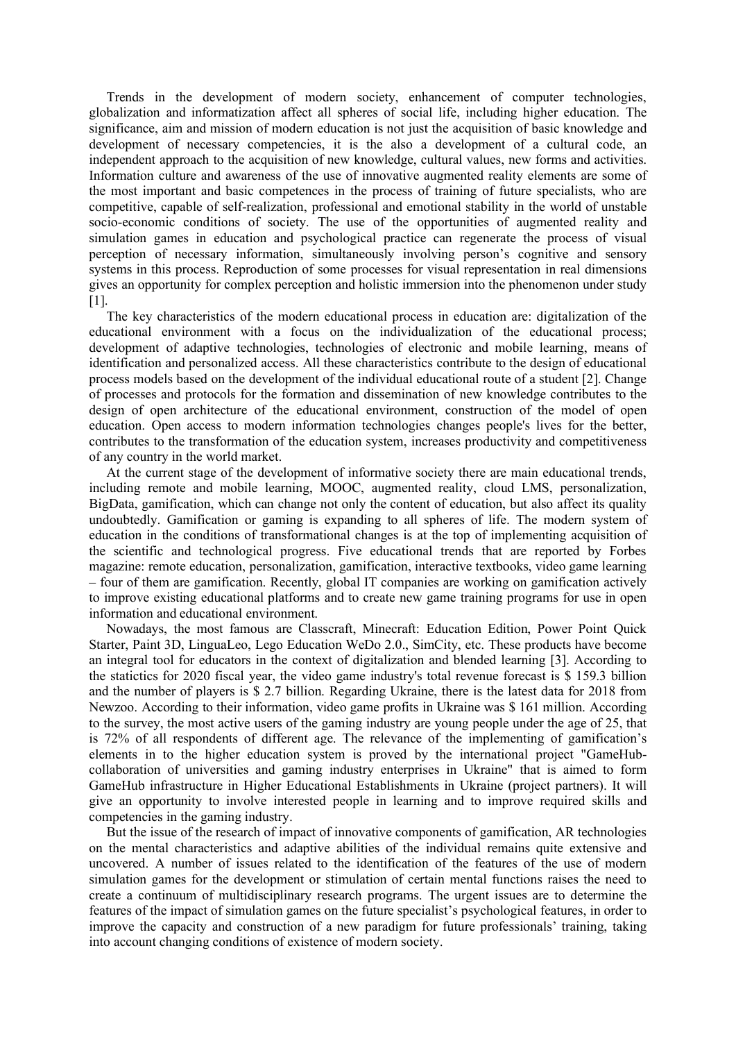Trends in the development of modern society, enhancement of computer technologies, globalization and informatization affect all spheres of social life, including higher education. The significance, aim and mission of modern education is not just the acquisition of basic knowledge and development of necessary competencies, it is the also a development of a cultural code, an independent approach to the acquisition of new knowledge, cultural values, new forms and activities. Information culture and awareness of the use of innovative augmented reality elements are some of the most important and basic competences in the process of training of future specialists, who are competitive, capable of self-realization, professional and emotional stability in the world of unstable socio-economic conditions of society. The use of the opportunities of augmented reality and simulation games in education and psychological practice can regenerate the process of visual perception of necessary information, simultaneously involving person's cognitive and sensory systems in this process. Reproduction of some processes for visual representation in real dimensions gives an opportunity for complex perception and holistic immersion into the phenomenon under study  $[1]$ .

The key characteristics of the modern educational process in education are: digitalization of the educational environment with a focus on the individualization of the educational process; development of adaptive technologies, technologies of electronic and mobile learning, means of identification and personalized access. All these characteristics contribute to the design of educational process models based on the development of the individual educational route of a student [2]. Change of processes and protocols for the formation and dissemination of new knowledge contributes to the design of open architecture of the educational environment, construction of the model of open education. Open access to modern information technologies changes people's lives for the better, contributes to the transformation of the education system, increases productivity and competitiveness of any country in the world market.

At the current stage of the development of informative society there are main educational trends, including remote and mobile learning, MOOC, augmented reality, cloud LMS, personalization, BigData, gamification, which can change not only the content of education, but also affect its quality undoubtedly. Gamification or gaming is expanding to all spheres of life. The modern system of education in the conditions of transformational changes is at the top of implementing acquisition of the scientific and technological progress. Five educational trends that are reported by Forbes magazine: remote education, personalization, gamification, interactive textbooks, video game learning – four of them are gamification. Recently, global IT companies are working on gamification actively to improve existing educational platforms and to create new game training programs for use in open information and educational environment.

Nowadays, the most famous are Classcraft, Minecraft: Education Edition, Power Point Quick Starter, Paint 3D, LinguaLeo, Lego Education WeDo 2.0., SimCity, etc. These products have become an integral tool for educators in the context of digitalization and blended learning [3]. According to the statictics for 2020 fiscal year, the video game industry's total revenue forecast is \$ 159.3 billion and the number of players is \$ 2.7 billion. Regarding Ukraine, there is the latest data for 2018 from Newzoo. According to their information, video game profits in Ukraine was \$ 161 million. According to the survey, the most active users of the gaming industry are young people under the age of 25, that is 72% of all respondents of different age. The relevance of the implementing of gamification's elements in to the higher education system is proved by the international project "GameHubcollaboration of universities and gaming industry enterprises in Ukraine" that is aimed to form GameHub infrastructure in Higher Educational Establishments in Ukraine (project partners). It will give an opportunity to involve interested people in learning and to improve required skills and competencies in the gaming industry.

But the issue of the research of impact of innovative components of gamification, AR technologies on the mental characteristics and adaptive abilities of the individual remains quite extensive and uncovered. A number of issues related to the identification of the features of the use of modern simulation games for the development or stimulation of certain mental functions raises the need to create a continuum of multidisciplinary research programs. The urgent issues are to determine the features of the impact of simulation games on the future specialist's psychological features, in order to improve the capacity and construction of a new paradigm for future professionals' training, taking into account changing conditions of existence of modern society.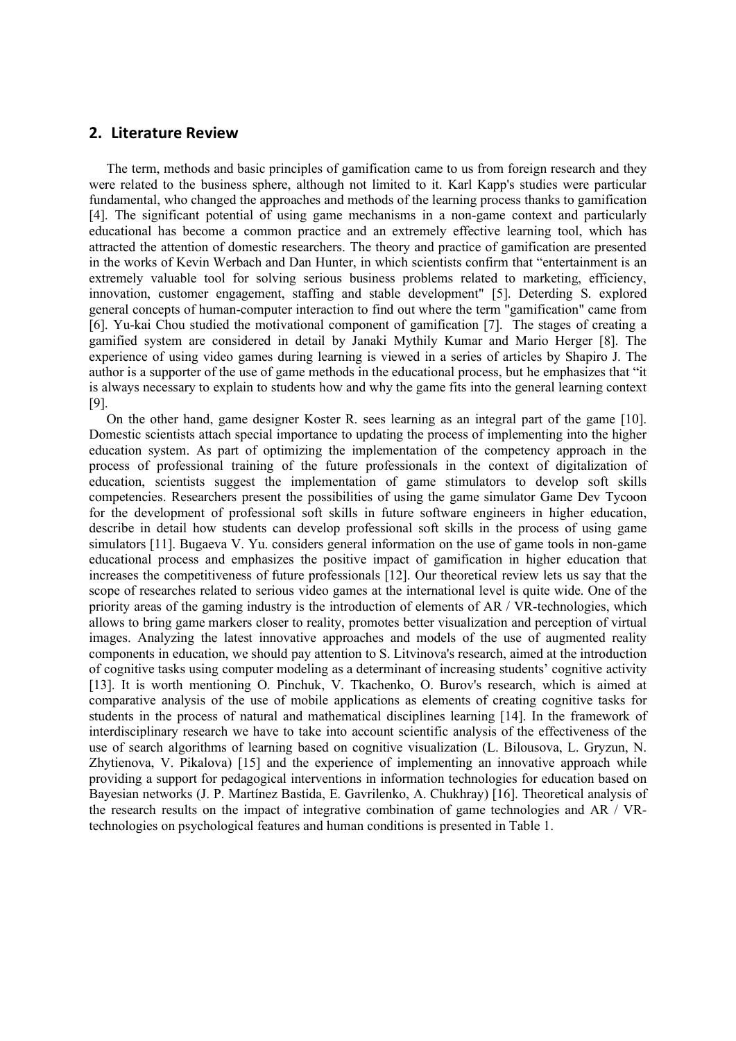# 2. Literature Review

The term, methods and basic principles of gamification came to us from foreign research and they were related to the business sphere, although not limited to it. Karl Kapp's studies were particular fundamental, who changed the approaches and methods of the learning process thanks to gamification [4]. The significant potential of using game mechanisms in a non-game context and particularly educational has become a common practice and an extremely effective learning tool, which has attracted the attention of domestic researchers. The theory and practice of gamification are presented in the works of Kevin Werbach and Dan Hunter, in which scientists confirm that "entertainment is an extremely valuable tool for solving serious business problems related to marketing, efficiency, innovation, customer engagement, staffing and stable development" [5]. Deterding S. explored general concepts of human-computer interaction to find out where the term "gamification" came from [6]. Yu-kai Chou studied the motivational component of gamification [7]. The stages of creating a gamified system are considered in detail by Janaki Mythily Kumar and Mario Herger [8]. The experience of using video games during learning is viewed in a series of articles by Shapiro J. The author is a supporter of the use of game methods in the educational process, but he emphasizes that "it is always necessary to explain to students how and why the game fits into the general learning context [9].

On the other hand, game designer Koster R. sees learning as an integral part of the game [10]. Domestic scientists attach special importance to updating the process of implementing into the higher education system. As part of optimizing the implementation of the competency approach in the process of professional training of the future professionals in the context of digitalization of education, scientists suggest the implementation of game stimulators to develop soft skills competencies. Researchers present the possibilities of using the game simulator Game Dev Tycoon for the development of professional soft skills in future software engineers in higher education, describe in detail how students can develop professional soft skills in the process of using game simulators [11]. Bugaeva V. Yu. considers general information on the use of game tools in non-game educational process and emphasizes the positive impact of gamification in higher education that increases the competitiveness of future professionals [12]. Our theoretical review lets us say that the scope of researches related to serious video games at the international level is quite wide. One of the priority areas of the gaming industry is the introduction of elements of AR / VR-technologies, which allows to bring game markers closer to reality, promotes better visualization and perception of virtual images. Analyzing the latest innovative approaches and models of the use of augmented reality components in education, we should pay attention to S. Litvinova's research, aimed at the introduction of cognitive tasks using computer modeling as a determinant of increasing students' cognitive activity [13]. It is worth mentioning O. Pinchuk, V. Tkachenko, O. Burov's research, which is aimed at comparative analysis of the use of mobile applications as elements of creating cognitive tasks for students in the process of natural and mathematical disciplines learning [14]. In the framework of interdisciplinary research we have to take into account scientific analysis of the effectiveness of the use of search algorithms of learning based on cognitive visualization (L. Bilousova, L. Gryzun, N. Zhytienova, V. Pikalova) [15] and the experience of implementing an innovative approach while providing a support for pedagogical interventions in information technologies for education based on Bayesian networks (J. P. Martínez Bastida, E. Gavrilenko, A. Chukhray) [16]. Theoretical analysis of the research results on the impact of integrative combination of game technologies and AR / VRtechnologies on psychological features and human conditions is presented in Table 1.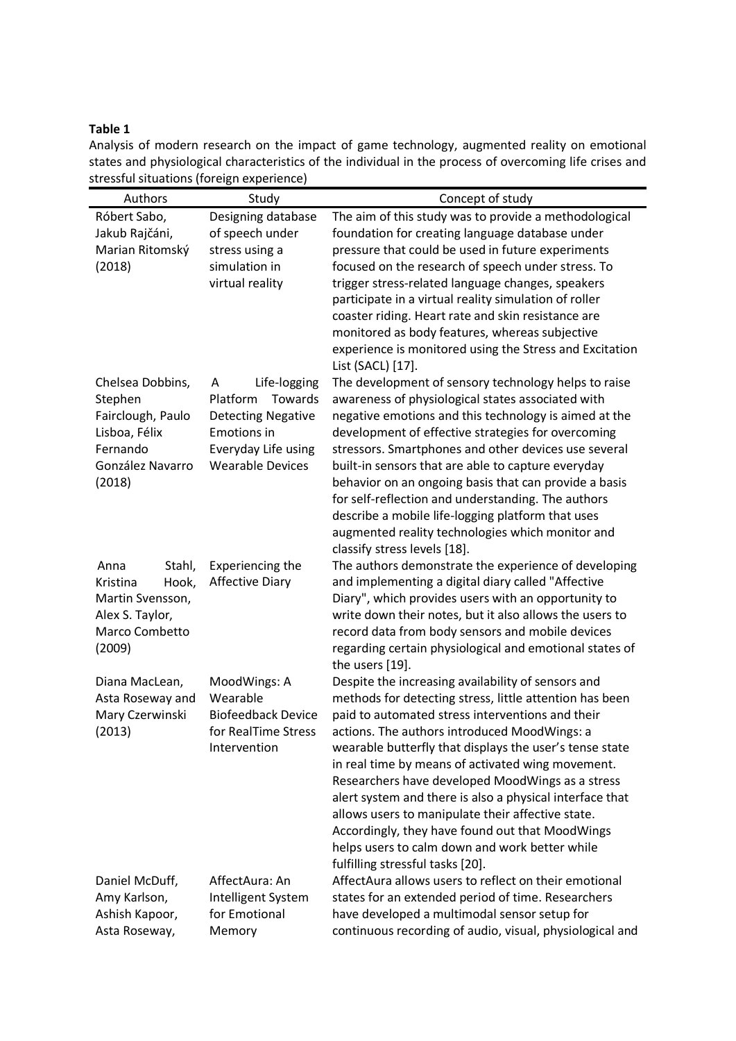# Table 1

Analysis of modern research on the impact of game technology, augmented reality on emotional states and physiological characteristics of the individual in the process of overcoming life crises and stressful situations (foreign experience)  $\blacksquare$ 

| Róbert Sabo,<br>Designing database<br>The aim of this study was to provide a methodological<br>Jakub Rajčáni,<br>of speech under<br>foundation for creating language database under<br>Marian Ritomský<br>stress using a<br>pressure that could be used in future experiments<br>simulation in<br>focused on the research of speech under stress. To<br>(2018)<br>virtual reality<br>trigger stress-related language changes, speakers<br>participate in a virtual reality simulation of roller<br>coaster riding. Heart rate and skin resistance are<br>monitored as body features, whereas subjective<br>experience is monitored using the Stress and Excitation<br>List (SACL) [17].<br>The development of sensory technology helps to raise<br>Chelsea Dobbins,<br>Life-logging<br>A<br>Platform<br>Towards<br>awareness of physiological states associated with<br>Stephen<br>Fairclough, Paulo<br><b>Detecting Negative</b><br>negative emotions and this technology is aimed at the<br>Lisboa, Félix<br><b>Emotions in</b><br>development of effective strategies for overcoming<br>Fernando<br>Everyday Life using<br>stressors. Smartphones and other devices use several<br>González Navarro<br><b>Wearable Devices</b><br>built-in sensors that are able to capture everyday<br>(2018)<br>behavior on an ongoing basis that can provide a basis<br>for self-reflection and understanding. The authors<br>describe a mobile life-logging platform that uses |
|-----------------------------------------------------------------------------------------------------------------------------------------------------------------------------------------------------------------------------------------------------------------------------------------------------------------------------------------------------------------------------------------------------------------------------------------------------------------------------------------------------------------------------------------------------------------------------------------------------------------------------------------------------------------------------------------------------------------------------------------------------------------------------------------------------------------------------------------------------------------------------------------------------------------------------------------------------------------------------------------------------------------------------------------------------------------------------------------------------------------------------------------------------------------------------------------------------------------------------------------------------------------------------------------------------------------------------------------------------------------------------------------------------------------------------------------------------------------------|
|                                                                                                                                                                                                                                                                                                                                                                                                                                                                                                                                                                                                                                                                                                                                                                                                                                                                                                                                                                                                                                                                                                                                                                                                                                                                                                                                                                                                                                                                       |
|                                                                                                                                                                                                                                                                                                                                                                                                                                                                                                                                                                                                                                                                                                                                                                                                                                                                                                                                                                                                                                                                                                                                                                                                                                                                                                                                                                                                                                                                       |
|                                                                                                                                                                                                                                                                                                                                                                                                                                                                                                                                                                                                                                                                                                                                                                                                                                                                                                                                                                                                                                                                                                                                                                                                                                                                                                                                                                                                                                                                       |
|                                                                                                                                                                                                                                                                                                                                                                                                                                                                                                                                                                                                                                                                                                                                                                                                                                                                                                                                                                                                                                                                                                                                                                                                                                                                                                                                                                                                                                                                       |
|                                                                                                                                                                                                                                                                                                                                                                                                                                                                                                                                                                                                                                                                                                                                                                                                                                                                                                                                                                                                                                                                                                                                                                                                                                                                                                                                                                                                                                                                       |
|                                                                                                                                                                                                                                                                                                                                                                                                                                                                                                                                                                                                                                                                                                                                                                                                                                                                                                                                                                                                                                                                                                                                                                                                                                                                                                                                                                                                                                                                       |
|                                                                                                                                                                                                                                                                                                                                                                                                                                                                                                                                                                                                                                                                                                                                                                                                                                                                                                                                                                                                                                                                                                                                                                                                                                                                                                                                                                                                                                                                       |
|                                                                                                                                                                                                                                                                                                                                                                                                                                                                                                                                                                                                                                                                                                                                                                                                                                                                                                                                                                                                                                                                                                                                                                                                                                                                                                                                                                                                                                                                       |
|                                                                                                                                                                                                                                                                                                                                                                                                                                                                                                                                                                                                                                                                                                                                                                                                                                                                                                                                                                                                                                                                                                                                                                                                                                                                                                                                                                                                                                                                       |
|                                                                                                                                                                                                                                                                                                                                                                                                                                                                                                                                                                                                                                                                                                                                                                                                                                                                                                                                                                                                                                                                                                                                                                                                                                                                                                                                                                                                                                                                       |
|                                                                                                                                                                                                                                                                                                                                                                                                                                                                                                                                                                                                                                                                                                                                                                                                                                                                                                                                                                                                                                                                                                                                                                                                                                                                                                                                                                                                                                                                       |
|                                                                                                                                                                                                                                                                                                                                                                                                                                                                                                                                                                                                                                                                                                                                                                                                                                                                                                                                                                                                                                                                                                                                                                                                                                                                                                                                                                                                                                                                       |
|                                                                                                                                                                                                                                                                                                                                                                                                                                                                                                                                                                                                                                                                                                                                                                                                                                                                                                                                                                                                                                                                                                                                                                                                                                                                                                                                                                                                                                                                       |
|                                                                                                                                                                                                                                                                                                                                                                                                                                                                                                                                                                                                                                                                                                                                                                                                                                                                                                                                                                                                                                                                                                                                                                                                                                                                                                                                                                                                                                                                       |
|                                                                                                                                                                                                                                                                                                                                                                                                                                                                                                                                                                                                                                                                                                                                                                                                                                                                                                                                                                                                                                                                                                                                                                                                                                                                                                                                                                                                                                                                       |
|                                                                                                                                                                                                                                                                                                                                                                                                                                                                                                                                                                                                                                                                                                                                                                                                                                                                                                                                                                                                                                                                                                                                                                                                                                                                                                                                                                                                                                                                       |
| augmented reality technologies which monitor and                                                                                                                                                                                                                                                                                                                                                                                                                                                                                                                                                                                                                                                                                                                                                                                                                                                                                                                                                                                                                                                                                                                                                                                                                                                                                                                                                                                                                      |
| classify stress levels [18].                                                                                                                                                                                                                                                                                                                                                                                                                                                                                                                                                                                                                                                                                                                                                                                                                                                                                                                                                                                                                                                                                                                                                                                                                                                                                                                                                                                                                                          |
| The authors demonstrate the experience of developing<br>Anna<br>Stahl,<br>Experiencing the                                                                                                                                                                                                                                                                                                                                                                                                                                                                                                                                                                                                                                                                                                                                                                                                                                                                                                                                                                                                                                                                                                                                                                                                                                                                                                                                                                            |
| and implementing a digital diary called "Affective<br>Kristina<br>Hook,<br><b>Affective Diary</b>                                                                                                                                                                                                                                                                                                                                                                                                                                                                                                                                                                                                                                                                                                                                                                                                                                                                                                                                                                                                                                                                                                                                                                                                                                                                                                                                                                     |
| Diary", which provides users with an opportunity to<br>Martin Svensson,                                                                                                                                                                                                                                                                                                                                                                                                                                                                                                                                                                                                                                                                                                                                                                                                                                                                                                                                                                                                                                                                                                                                                                                                                                                                                                                                                                                               |
| Alex S. Taylor,<br>write down their notes, but it also allows the users to                                                                                                                                                                                                                                                                                                                                                                                                                                                                                                                                                                                                                                                                                                                                                                                                                                                                                                                                                                                                                                                                                                                                                                                                                                                                                                                                                                                            |
| Marco Combetto<br>record data from body sensors and mobile devices                                                                                                                                                                                                                                                                                                                                                                                                                                                                                                                                                                                                                                                                                                                                                                                                                                                                                                                                                                                                                                                                                                                                                                                                                                                                                                                                                                                                    |
| (2009)<br>regarding certain physiological and emotional states of<br>the users [19].                                                                                                                                                                                                                                                                                                                                                                                                                                                                                                                                                                                                                                                                                                                                                                                                                                                                                                                                                                                                                                                                                                                                                                                                                                                                                                                                                                                  |
| Despite the increasing availability of sensors and<br>Diana MacLean,<br>MoodWings: A                                                                                                                                                                                                                                                                                                                                                                                                                                                                                                                                                                                                                                                                                                                                                                                                                                                                                                                                                                                                                                                                                                                                                                                                                                                                                                                                                                                  |
| Wearable<br>methods for detecting stress, little attention has been<br>Asta Roseway and                                                                                                                                                                                                                                                                                                                                                                                                                                                                                                                                                                                                                                                                                                                                                                                                                                                                                                                                                                                                                                                                                                                                                                                                                                                                                                                                                                               |
| <b>Biofeedback Device</b><br>paid to automated stress interventions and their<br>Mary Czerwinski                                                                                                                                                                                                                                                                                                                                                                                                                                                                                                                                                                                                                                                                                                                                                                                                                                                                                                                                                                                                                                                                                                                                                                                                                                                                                                                                                                      |
| (2013)<br>for RealTime Stress<br>actions. The authors introduced MoodWings: a<br>Intervention                                                                                                                                                                                                                                                                                                                                                                                                                                                                                                                                                                                                                                                                                                                                                                                                                                                                                                                                                                                                                                                                                                                                                                                                                                                                                                                                                                         |
| wearable butterfly that displays the user's tense state<br>in real time by means of activated wing movement.                                                                                                                                                                                                                                                                                                                                                                                                                                                                                                                                                                                                                                                                                                                                                                                                                                                                                                                                                                                                                                                                                                                                                                                                                                                                                                                                                          |
| Researchers have developed MoodWings as a stress                                                                                                                                                                                                                                                                                                                                                                                                                                                                                                                                                                                                                                                                                                                                                                                                                                                                                                                                                                                                                                                                                                                                                                                                                                                                                                                                                                                                                      |
| alert system and there is also a physical interface that                                                                                                                                                                                                                                                                                                                                                                                                                                                                                                                                                                                                                                                                                                                                                                                                                                                                                                                                                                                                                                                                                                                                                                                                                                                                                                                                                                                                              |
| allows users to manipulate their affective state.                                                                                                                                                                                                                                                                                                                                                                                                                                                                                                                                                                                                                                                                                                                                                                                                                                                                                                                                                                                                                                                                                                                                                                                                                                                                                                                                                                                                                     |
| Accordingly, they have found out that MoodWings                                                                                                                                                                                                                                                                                                                                                                                                                                                                                                                                                                                                                                                                                                                                                                                                                                                                                                                                                                                                                                                                                                                                                                                                                                                                                                                                                                                                                       |
| helps users to calm down and work better while                                                                                                                                                                                                                                                                                                                                                                                                                                                                                                                                                                                                                                                                                                                                                                                                                                                                                                                                                                                                                                                                                                                                                                                                                                                                                                                                                                                                                        |
| fulfilling stressful tasks [20].                                                                                                                                                                                                                                                                                                                                                                                                                                                                                                                                                                                                                                                                                                                                                                                                                                                                                                                                                                                                                                                                                                                                                                                                                                                                                                                                                                                                                                      |
| AffectAura: An<br>AffectAura allows users to reflect on their emotional<br>Daniel McDuff,                                                                                                                                                                                                                                                                                                                                                                                                                                                                                                                                                                                                                                                                                                                                                                                                                                                                                                                                                                                                                                                                                                                                                                                                                                                                                                                                                                             |
| Amy Karlson,<br>Intelligent System<br>states for an extended period of time. Researchers                                                                                                                                                                                                                                                                                                                                                                                                                                                                                                                                                                                                                                                                                                                                                                                                                                                                                                                                                                                                                                                                                                                                                                                                                                                                                                                                                                              |
| for Emotional<br>have developed a multimodal sensor setup for<br>Ashish Kapoor,<br>continuous recording of audio, visual, physiological and<br>Asta Roseway,<br>Memory                                                                                                                                                                                                                                                                                                                                                                                                                                                                                                                                                                                                                                                                                                                                                                                                                                                                                                                                                                                                                                                                                                                                                                                                                                                                                                |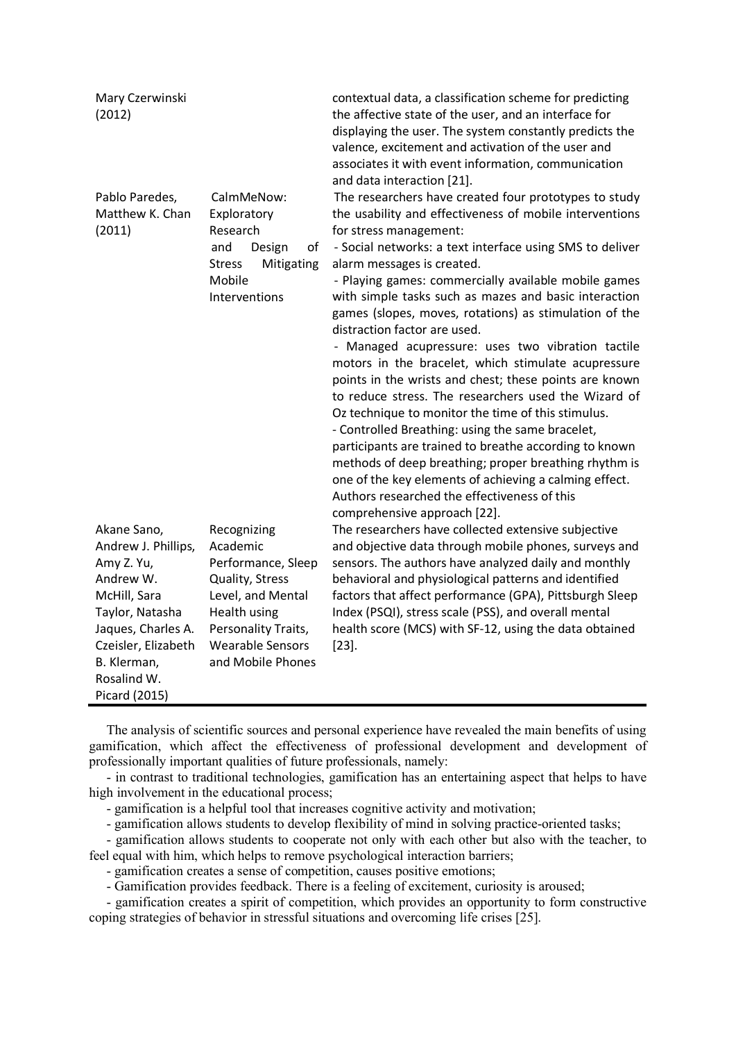| Mary Czerwinski<br>(2012)                                                                                                                                                                    |                                                                                                                                                                              | contextual data, a classification scheme for predicting<br>the affective state of the user, and an interface for<br>displaying the user. The system constantly predicts the<br>valence, excitement and activation of the user and<br>associates it with event information, communication<br>and data interaction [21].                                                                                                                                                                                                                                                                                                                                                                                                                               |
|----------------------------------------------------------------------------------------------------------------------------------------------------------------------------------------------|------------------------------------------------------------------------------------------------------------------------------------------------------------------------------|------------------------------------------------------------------------------------------------------------------------------------------------------------------------------------------------------------------------------------------------------------------------------------------------------------------------------------------------------------------------------------------------------------------------------------------------------------------------------------------------------------------------------------------------------------------------------------------------------------------------------------------------------------------------------------------------------------------------------------------------------|
| Pablo Paredes,<br>Matthew K. Chan<br>(2011)                                                                                                                                                  | CalmMeNow:<br>Exploratory<br>Research<br>and<br>Design<br>оf<br><b>Stress</b><br>Mitigating<br>Mobile                                                                        | The researchers have created four prototypes to study<br>the usability and effectiveness of mobile interventions<br>for stress management:<br>- Social networks: a text interface using SMS to deliver<br>alarm messages is created.<br>- Playing games: commercially available mobile games                                                                                                                                                                                                                                                                                                                                                                                                                                                         |
|                                                                                                                                                                                              | Interventions                                                                                                                                                                | with simple tasks such as mazes and basic interaction<br>games (slopes, moves, rotations) as stimulation of the<br>distraction factor are used.<br>- Managed acupressure: uses two vibration tactile<br>motors in the bracelet, which stimulate acupressure<br>points in the wrists and chest; these points are known<br>to reduce stress. The researchers used the Wizard of<br>Oz technique to monitor the time of this stimulus.<br>- Controlled Breathing: using the same bracelet,<br>participants are trained to breathe according to known<br>methods of deep breathing; proper breathing rhythm is<br>one of the key elements of achieving a calming effect.<br>Authors researched the effectiveness of this<br>comprehensive approach [22]. |
| Akane Sano,<br>Andrew J. Phillips,<br>Amy Z. Yu,<br>Andrew W.<br>McHill, Sara<br>Taylor, Natasha<br>Jaques, Charles A.<br>Czeisler, Elizabeth<br>B. Klerman,<br>Rosalind W.<br>Picard (2015) | Recognizing<br>Academic<br>Performance, Sleep<br>Quality, Stress<br>Level, and Mental<br>Health using<br>Personality Traits,<br><b>Wearable Sensors</b><br>and Mobile Phones | The researchers have collected extensive subjective<br>and objective data through mobile phones, surveys and<br>sensors. The authors have analyzed daily and monthly<br>behavioral and physiological patterns and identified<br>factors that affect performance (GPA), Pittsburgh Sleep<br>Index (PSQI), stress scale (PSS), and overall mental<br>health score (MCS) with SF-12, using the data obtained<br>$[23]$ .                                                                                                                                                                                                                                                                                                                                |

The analysis of scientific sources and personal experience have revealed the main benefits of using gamification, which affect the effectiveness of professional development and development of professionally important qualities of future professionals, namely:

- in contrast to traditional technologies, gamification has an entertaining aspect that helps to have high involvement in the educational process;

- gamification is a helpful tool that increases cognitive activity and motivation;

- gamification allows students to develop flexibility of mind in solving practice-oriented tasks;

- gamification allows students to cooperate not only with each other but also with the teacher, to feel equal with him, which helps to remove psychological interaction barriers;

- gamification creates a sense of competition, causes positive emotions;

- Gamification provides feedback. There is a feeling of excitement, curiosity is aroused;

- gamification creates a spirit of competition, which provides an opportunity to form constructive coping strategies of behavior in stressful situations and overcoming life crises [25].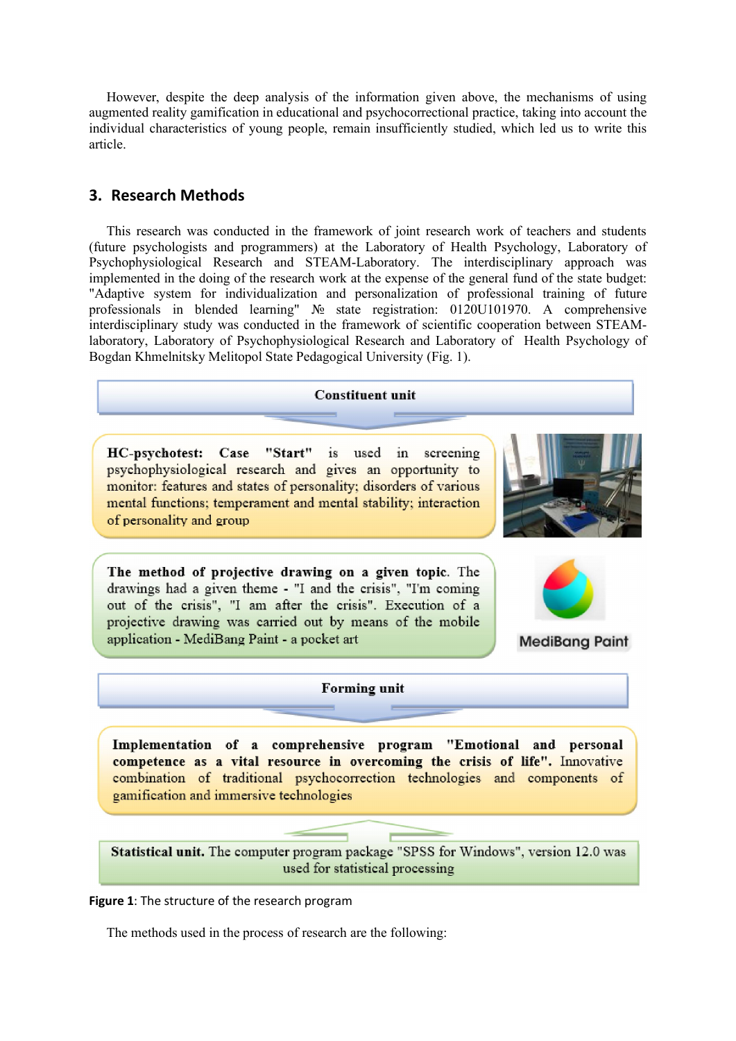However, despite the deep analysis of the information given above, the mechanisms of using augmented reality gamification in educational and psychocorrectional practice, taking into account the individual characteristics of young people, remain insufficiently studied, which led us to write this article.

# 3. Research Methods

This research was conducted in the framework of joint research work of teachers and students (future psychologists and programmers) at the Laboratory of Health Psychology, Laboratory of Psychophysiological Research and STEAM-Laboratory. The interdisciplinary approach was implemented in the doing of the research work at the expense of the general fund of the state budget: "Adaptive system for individualization and personalization of professional training of future professionals in blended learning" № state registration: 0120U101970. A comprehensive interdisciplinary study was conducted in the framework of scientific cooperation between STEAMlaboratory, Laboratory of Psychophysiological Research and Laboratory of Health Psychology of Bogdan Khmelnitsky Melitopol State Pedagogical University (Fig. 1).

#### **Constituent unit**

HC-psychotest: Case "Start" is used in screening psychophysiological research and gives an opportunity to monitor: features and states of personality; disorders of various mental functions; temperament and mental stability; interaction of personality and group



The method of projective drawing on a given topic. The drawings had a given theme - "I and the crisis", "I'm coming out of the crisis", "I am after the crisis". Execution of a projective drawing was carried out by means of the mobile application - MediBang Paint - a pocket art



**MediBang Paint** 

#### **Forming unit**

Implementation of a comprehensive program "Emotional and personal competence as a vital resource in overcoming the crisis of life". Innovative combination of traditional psychocorrection technologies and components of gamification and immersive technologies

Statistical unit. The computer program package "SPSS for Windows", version 12.0 was used for statistical processing

### Figure 1: The structure of the research program

The methods used in the process of research are the following: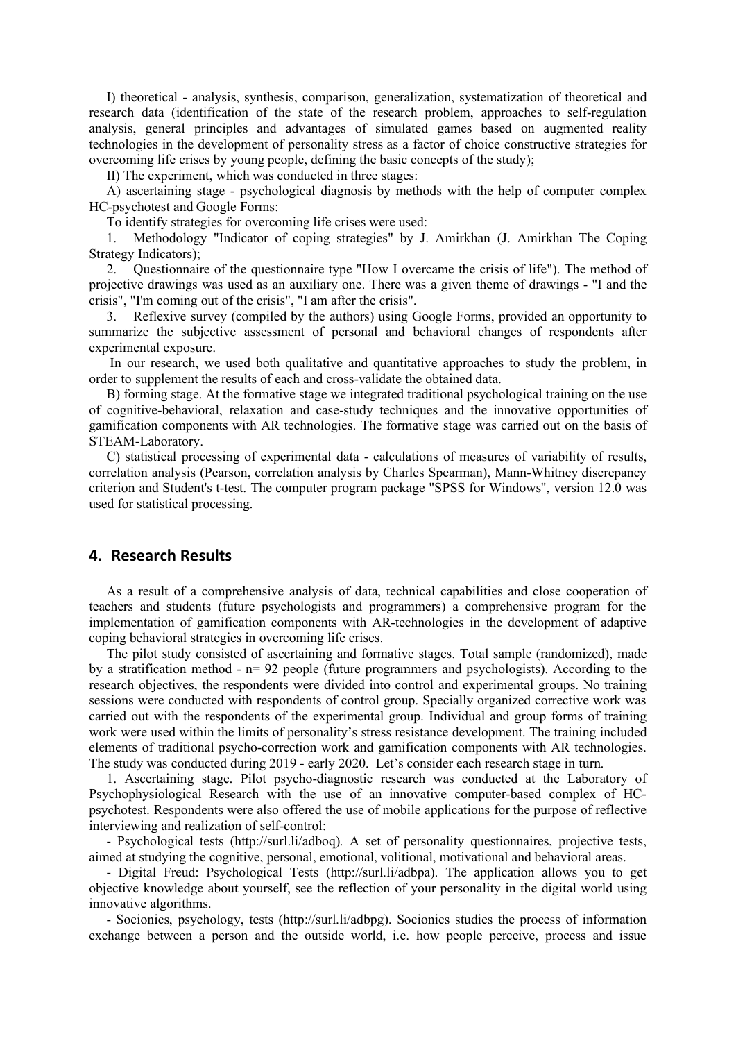I) theoretical - analysis, synthesis, comparison, generalization, systematization of theoretical and research data (identification of the state of the research problem, approaches to self-regulation analysis, general principles and advantages of simulated games based on augmented reality technologies in the development of personality stress as a factor of choice constructive strategies for overcoming life crises by young people, defining the basic concepts of the study);

II) The experiment, which was conducted in three stages:

A) ascertaining stage - psychological diagnosis by methods with the help of computer complex НС-psychotest and Google Forms:

To identify strategies for overcoming life crises were used:

1. Methodology "Indicator of coping strategies" by J. Amirkhan (J. Amirkhan The Coping Strategy Indicators);

2. Questionnaire of the questionnaire type "How I overcame the crisis of life"). The method of projective drawings was used as an auxiliary one. There was a given theme of drawings - "I and the crisis", "I'm coming out of the crisis", "I am after the crisis".

3. Reflexive survey (compiled by the authors) using Google Forms, provided an opportunity to summarize the subjective assessment of personal and behavioral changes of respondents after experimental exposure.

 In our research, we used both qualitative and quantitative approaches to study the problem, in order to supplement the results of each and cross-validate the obtained data.

B) forming stage. At the formative stage we integrated traditional psychological training on the use of cognitive-behavioral, relaxation and case-study techniques and the innovative opportunities of gamification components with AR technologies. The formative stage was carried out on the basis of STEАM-Laboratory.

С) statistical processing of experimental data - calculations of measures of variability of results, correlation analysis (Pearson, correlation analysis by Charles Spearman), Mann-Whitney discrepancy criterion and Student's t-test. The computer program package "SPSS for Windows", version 12.0 was used for statistical processing.

## 4. Research Results

As a result of a comprehensive analysis of data, technical capabilities and close cooperation of teachers and students (future psychologists and programmers) a comprehensive program for the implementation of gamification components with AR-technologies in the development of adaptive coping behavioral strategies in overcoming life crises.

The pilot study consisted of ascertaining and formative stages. Total sample (randomized), made by a stratification method - n= 92 people (future programmers and psychologists). According to the research objectives, the respondents were divided into control and experimental groups. No training sessions were conducted with respondents of control group. Specially organized corrective work was carried out with the respondents of the experimental group. Individual and group forms of training work were used within the limits of personality's stress resistance development. The training included elements of traditional psycho-correction work and gamification components with AR technologies. The study was conducted during 2019 - early 2020. Let's consider each research stage in turn.

1. Ascertaining stage. Pilot psycho-diagnostic research was conducted at the Laboratory of Psychophysiological Research with the use of an innovative computer-based complex of HCpsychotest. Respondents were also offered the use of mobile applications for the purpose of reflective interviewing and realization of self-control:

- Psychological tests (http://surl.li/adboq). A set of personality questionnaires, projective tests, aimed at studying the cognitive, personal, emotional, volitional, motivational and behavioral areas.

- Digital Freud: Psychological Tests (http://surl.li/adbpa). The application allows you to get objective knowledge about yourself, see the reflection of your personality in the digital world using innovative algorithms.

- Socionics, psychology, tests (http://surl.li/adbpg). Socionics studies the process of information exchange between a person and the outside world, i.e. how people perceive, process and issue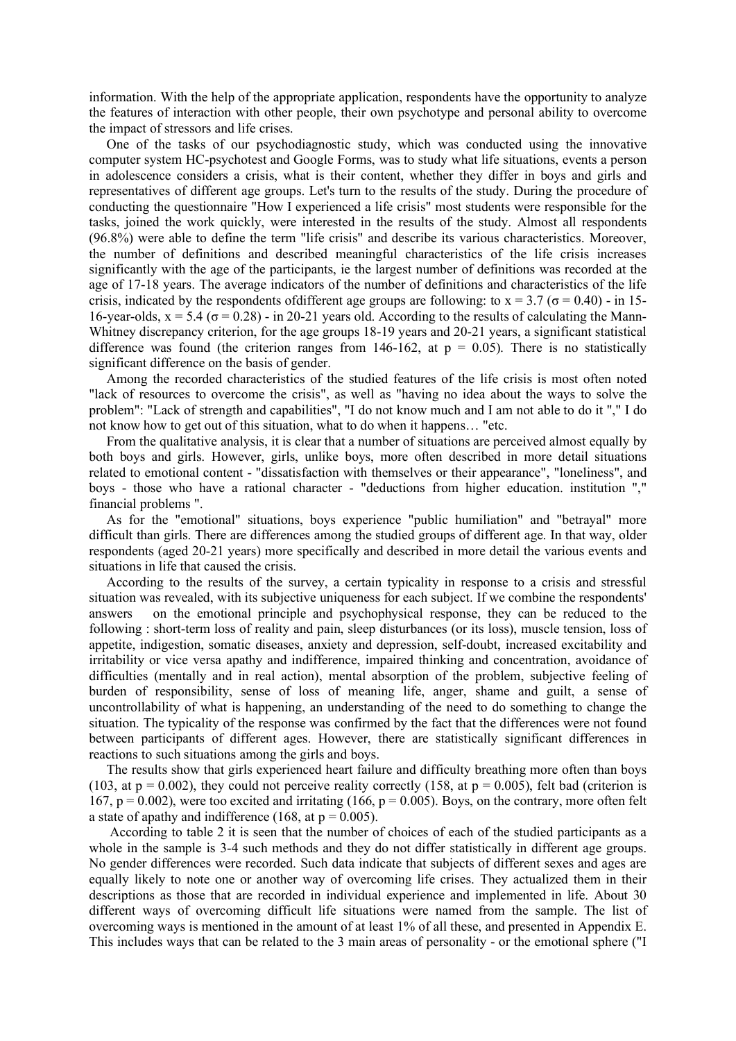information. With the help of the appropriate application, respondents have the opportunity to analyze the features of interaction with other people, their own psychotype and personal ability to overcome the impact of stressors and life crises.

One of the tasks of our psychodiagnostic study, which was conducted using the innovative computer system HC-psychotest and Google Forms, was to study what life situations, events a person in adolescence considers a crisis, what is their content, whether they differ in boys and girls and representatives of different age groups. Let's turn to the results of the study. During the procedure of conducting the questionnaire "How I experienced a life crisis" most students were responsible for the tasks, joined the work quickly, were interested in the results of the study. Almost all respondents (96.8%) were able to define the term "life crisis" and describe its various characteristics. Moreover, the number of definitions and described meaningful characteristics of the life crisis increases significantly with the age of the participants, ie the largest number of definitions was recorded at the age of 17-18 years. The average indicators of the number of definitions and characteristics of the life crisis, indicated by the respondents of different age groups are following: to  $x = 3.7$  ( $\sigma = 0.40$ ) - in 15-16-year-olds,  $x = 5.4$  ( $\sigma = 0.28$ ) - in 20-21 years old. According to the results of calculating the Mann-Whitney discrepancy criterion, for the age groups 18-19 years and 20-21 years, a significant statistical difference was found (the criterion ranges from 146-162, at  $p = 0.05$ ). There is no statistically significant difference on the basis of gender.

Among the recorded characteristics of the studied features of the life crisis is most often noted "lack of resources to overcome the crisis", as well as "having no idea about the ways to solve the problem": "Lack of strength and capabilities", "I do not know much and I am not able to do it "," I do not know how to get out of this situation, what to do when it happens… "etc.

From the qualitative analysis, it is clear that a number of situations are perceived almost equally by both boys and girls. However, girls, unlike boys, more often described in more detail situations related to emotional content - "dissatisfaction with themselves or their appearance", "loneliness", and boys - those who have a rational character - "deductions from higher education. institution "," financial problems ".

As for the "emotional" situations, boys experience "public humiliation" and "betrayal" more difficult than girls. There are differences among the studied groups of different age. In that way, older respondents (aged 20-21 years) more specifically and described in more detail the various events and situations in life that caused the crisis.

According to the results of the survey, a certain typicality in response to a crisis and stressful situation was revealed, with its subjective uniqueness for each subject. If we combine the respondents' answers on the emotional principle and psychophysical response, they can be reduced to the following : short-term loss of reality and pain, sleep disturbances (or its loss), muscle tension, loss of appetite, indigestion, somatic diseases, anxiety and depression, self-doubt, increased excitability and irritability or vice versa apathy and indifference, impaired thinking and concentration, avoidance of difficulties (mentally and in real action), mental absorption of the problem, subjective feeling of burden of responsibility, sense of loss of meaning life, anger, shame and guilt, a sense of uncontrollability of what is happening, an understanding of the need to do something to change the situation. The typicality of the response was confirmed by the fact that the differences were not found between participants of different ages. However, there are statistically significant differences in reactions to such situations among the girls and boys.

The results show that girls experienced heart failure and difficulty breathing more often than boys (103, at  $p = 0.002$ ), they could not perceive reality correctly (158, at  $p = 0.005$ ), felt bad (criterion is 167,  $p = 0.002$ ), were too excited and irritating (166,  $p = 0.005$ ). Boys, on the contrary, more often felt a state of apathy and indifference (168, at  $p = 0.005$ ).

 According to table 2 it is seen that the number of choices of each of the studied participants as a whole in the sample is 3-4 such methods and they do not differ statistically in different age groups. No gender differences were recorded. Such data indicate that subjects of different sexes and ages are equally likely to note one or another way of overcoming life crises. They actualized them in their descriptions as those that are recorded in individual experience and implemented in life. About 30 different ways of overcoming difficult life situations were named from the sample. The list of overcoming ways is mentioned in the amount of at least 1% of all these, and presented in Appendix E. This includes ways that can be related to the 3 main areas of personality - or the emotional sphere ("I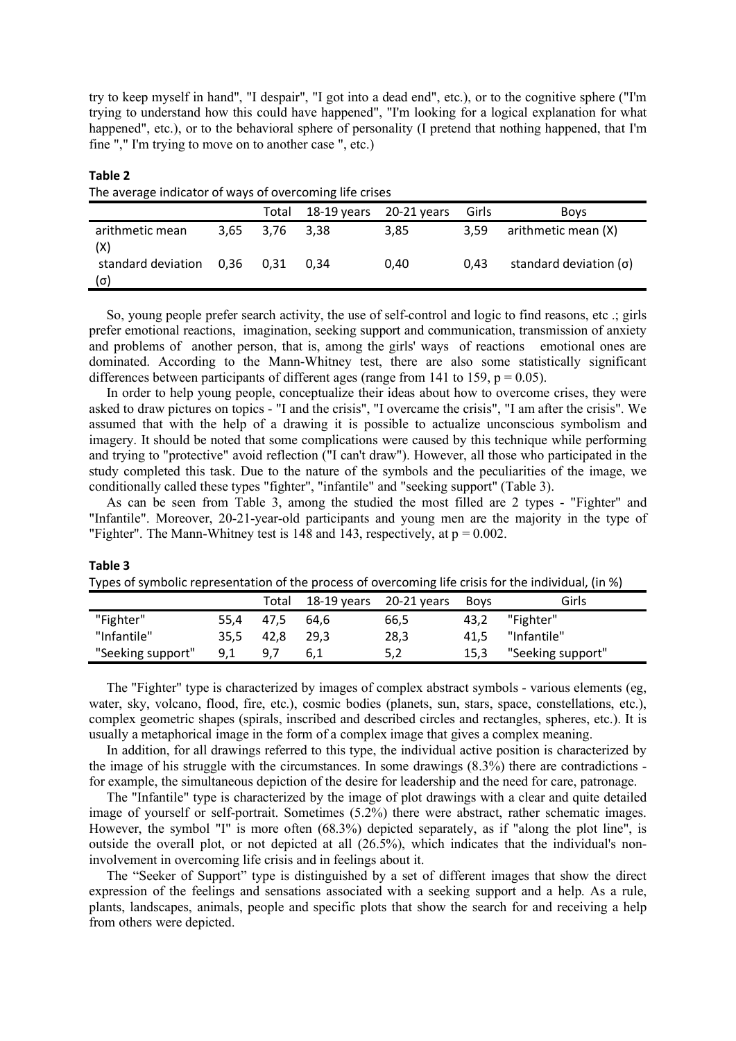try to keep myself in hand", "I despair", "I got into a dead end", etc.), or to the cognitive sphere ("I'm trying to understand how this could have happened", "I'm looking for a logical explanation for what happened", etc.), or to the behavioral sphere of personality (I pretend that nothing happened, that I'm fine "," I'm trying to move on to another case ", etc.)

Table 2

| The average indicator of ways of overcoming life crises |      |       |             |             |       |                               |  |
|---------------------------------------------------------|------|-------|-------------|-------------|-------|-------------------------------|--|
|                                                         |      | Total | 18-19 years | 20-21 years | Girls | <b>Boys</b>                   |  |
| arithmetic mean<br>(X)                                  | 3.65 | 3.76  | 3.38        | 3,85        | 3.59  | arithmetic mean (X)           |  |
| standard deviation 0,36<br>(σ)                          |      | 0.31  | 0.34        | 0,40        | 0.43  | standard deviation $(\sigma)$ |  |

So, young people prefer search activity, the use of self-control and logic to find reasons, etc .; girls prefer emotional reactions, imagination, seeking support and communication, transmission of anxiety and problems of another person, that is, among the girls' ways of reactions emotional ones are dominated. According to the Mann-Whitney test, there are also some statistically significant differences between participants of different ages (range from 141 to 159,  $p = 0.05$ ).

In order to help young people, conceptualize their ideas about how to overcome crises, they were asked to draw pictures on topics - "I and the crisis", "I overcame the crisis", "I am after the crisis". We assumed that with the help of a drawing it is possible to actualize unconscious symbolism and imagery. It should be noted that some complications were caused by this technique while performing and trying to "protective" avoid reflection ("I can't draw"). However, all those who participated in the study completed this task. Due to the nature of the symbols and the peculiarities of the image, we conditionally called these types "fighter", "infantile" and "seeking support" (Table 3).

As can be seen from Table 3, among the studied the most filled are 2 types - "Fighter" and "Infantile". Moreover, 20-21-year-old participants and young men are the majority in the type of "Fighter". The Mann-Whitney test is 148 and 143, respectively, at  $p = 0.002$ .

#### Table 3 Types of symbolic representation of the process of overcoming life crisis for the individual, (in %)

| . .               |      |       |      |                           |             |                   |  |
|-------------------|------|-------|------|---------------------------|-------------|-------------------|--|
|                   |      | Total |      | 18-19 years $20-21$ years | <b>Boys</b> | Girls             |  |
| "Fighter"         | 55.4 | 47.5  | 64.6 | 66,5                      | 43,2        | "Fighter"         |  |
| "Infantile"       | 35.5 | 42.8  | 29.3 | 28,3                      | 41.5        | "Infantile"       |  |
| "Seeking support" | 9,1  | 9 7   | 6.1  | 5,2                       | 15,3        | "Seeking support" |  |

The "Fighter" type is characterized by images of complex abstract symbols - various elements (eg, water, sky, volcano, flood, fire, etc.), cosmic bodies (planets, sun, stars, space, constellations, etc.), complex geometric shapes (spirals, inscribed and described circles and rectangles, spheres, etc.). It is usually a metaphorical image in the form of a complex image that gives a complex meaning.

In addition, for all drawings referred to this type, the individual active position is characterized by the image of his struggle with the circumstances. In some drawings (8.3%) there are contradictions for example, the simultaneous depiction of the desire for leadership and the need for care, patronage.

The "Infantile" type is characterized by the image of plot drawings with a clear and quite detailed image of yourself or self-portrait. Sometimes (5.2%) there were abstract, rather schematic images. However, the symbol "I" is more often (68.3%) depicted separately, as if "along the plot line", is outside the overall plot, or not depicted at all (26.5%), which indicates that the individual's noninvolvement in overcoming life crisis and in feelings about it.

The "Seeker of Support" type is distinguished by a set of different images that show the direct expression of the feelings and sensations associated with a seeking support and a help. As a rule, plants, landscapes, animals, people and specific plots that show the search for and receiving a help from others were depicted.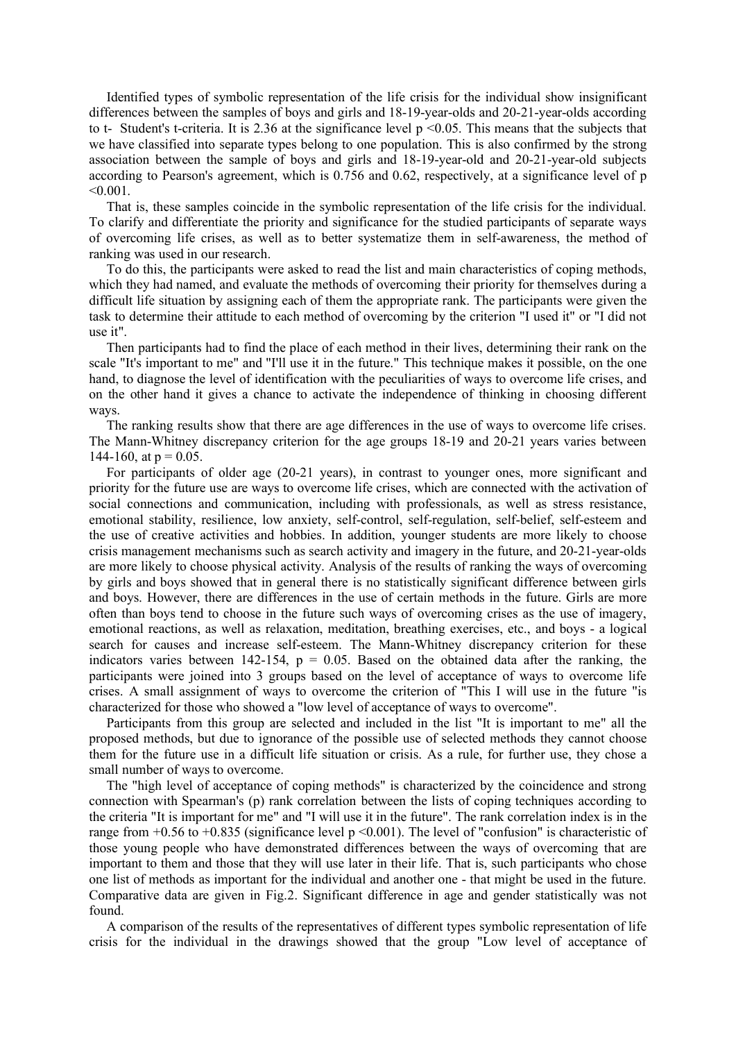Identified types of symbolic representation of the life crisis for the individual show insignificant differences between the samples of boys and girls and 18-19-year-olds and 20-21-year-olds according to t- Student's t-criteria. It is 2.36 at the significance level  $p \le 0.05$ . This means that the subjects that we have classified into separate types belong to one population. This is also confirmed by the strong association between the sample of boys and girls and 18-19-year-old and 20-21-year-old subjects according to Pearson's agreement, which is 0.756 and 0.62, respectively, at a significance level of p  $< 0.001$ .

That is, these samples coincide in the symbolic representation of the life crisis for the individual. To clarify and differentiate the priority and significance for the studied participants of separate ways of overcoming life crises, as well as to better systematize them in self-awareness, the method of ranking was used in our research.

To do this, the participants were asked to read the list and main characteristics of coping methods, which they had named, and evaluate the methods of overcoming their priority for themselves during a difficult life situation by assigning each of them the appropriate rank. The participants were given the task to determine their attitude to each method of overcoming by the criterion "I used it" or "I did not use it".

Then participants had to find the place of each method in their lives, determining their rank on the scale "It's important to me" and "I'll use it in the future." This technique makes it possible, on the one hand, to diagnose the level of identification with the peculiarities of ways to overcome life crises, and on the other hand it gives a chance to activate the independence of thinking in choosing different ways.

The ranking results show that there are age differences in the use of ways to overcome life crises. The Mann-Whitney discrepancy criterion for the age groups 18-19 and 20-21 years varies between 144-160, at  $p = 0.05$ .

For participants of older age (20-21 years), in contrast to younger ones, more significant and priority for the future use are ways to overcome life crises, which are connected with the activation of social connections and communication, including with professionals, as well as stress resistance, emotional stability, resilience, low anxiety, self-control, self-regulation, self-belief, self-esteem and the use of creative activities and hobbies. In addition, younger students are more likely to choose crisis management mechanisms such as search activity and imagery in the future, and 20-21-year-olds are more likely to choose physical activity. Analysis of the results of ranking the ways of overcoming by girls and boys showed that in general there is no statistically significant difference between girls and boys. However, there are differences in the use of certain methods in the future. Girls are more often than boys tend to choose in the future such ways of overcoming crises as the use of imagery, emotional reactions, as well as relaxation, meditation, breathing exercises, etc., and boys - a logical search for causes and increase self-esteem. The Mann-Whitney discrepancy criterion for these indicators varies between 142-154,  $p = 0.05$ . Based on the obtained data after the ranking, the participants were joined into 3 groups based on the level of acceptance of ways to overcome life crises. A small assignment of ways to overcome the criterion of "This I will use in the future "is characterized for those who showed a "low level of acceptance of ways to overcome".

Participants from this group are selected and included in the list "It is important to me" all the proposed methods, but due to ignorance of the possible use of selected methods they cannot choose them for the future use in a difficult life situation or crisis. As a rule, for further use, they chose a small number of ways to overcome.

The "high level of acceptance of coping methods" is characterized by the coincidence and strong connection with Spearman's (p) rank correlation between the lists of coping techniques according to the criteria "It is important for me" and "I will use it in the future". The rank correlation index is in the range from  $+0.56$  to  $+0.835$  (significance level p  $\leq 0.001$ ). The level of "confusion" is characteristic of those young people who have demonstrated differences between the ways of overcoming that are important to them and those that they will use later in their life. That is, such participants who chose one list of methods as important for the individual and another one - that might be used in the future. Comparative data are given in Fig.2. Significant difference in age and gender statistically was not found.

A comparison of the results of the representatives of different types symbolic representation of life crisis for the individual in the drawings showed that the group "Low level of acceptance of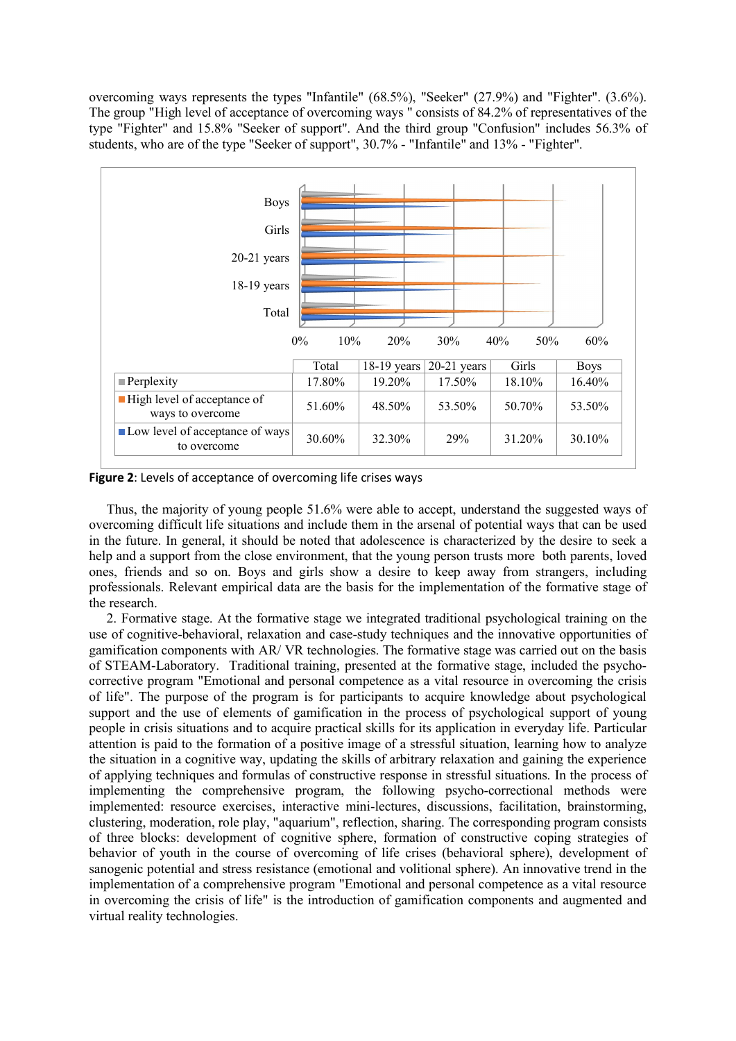overcoming ways represents the types "Infantile" (68.5%), "Seeker" (27.9%) and "Fighter". (3.6%). The group "High level of acceptance of overcoming ways " consists of 84.2% of representatives of the type "Fighter" and 15.8% "Seeker of support". And the third group "Confusion" includes 56.3% of students, who are of the type "Seeker of support", 30.7% - "Infantile" and 13% - "Fighter".



Figure 2: Levels of acceptance of overcoming life crises ways

Thus, the majority of young people 51.6% were able to accept, understand the suggested ways of overcoming difficult life situations and include them in the arsenal of potential ways that can be used in the future. In general, it should be noted that adolescence is characterized by the desire to seek a help and a support from the close environment, that the young person trusts more both parents, loved ones, friends and so on. Boys and girls show a desire to keep away from strangers, including professionals. Relevant empirical data are the basis for the implementation of the formative stage of the research.

2. Formative stage. At the formative stage we integrated traditional psychological training on the use of cognitive-behavioral, relaxation and case-study techniques and the innovative opportunities of gamification components with AR/ VR technologies. The formative stage was carried out on the basis of STEAM-Laboratory. Traditional training, presented at the formative stage, included the psychocorrective program "Emotional and personal competence as a vital resource in overcoming the crisis of life". The purpose of the program is for participants to acquire knowledge about psychological support and the use of elements of gamification in the process of psychological support of young people in crisis situations and to acquire practical skills for its application in everyday life. Particular attention is paid to the formation of a positive image of a stressful situation, learning how to analyze the situation in a cognitive way, updating the skills of arbitrary relaxation and gaining the experience of applying techniques and formulas of constructive response in stressful situations. In the process of implementing the comprehensive program, the following psycho-correctional methods were implemented: resource exercises, interactive mini-lectures, discussions, facilitation, brainstorming, clustering, moderation, role play, "aquarium", reflection, sharing. The corresponding program consists of three blocks: development of cognitive sphere, formation of constructive coping strategies of behavior of youth in the course of overcoming of life crises (behavioral sphere), development of sanogenic potential and stress resistance (emotional and volitional sphere). An innovative trend in the implementation of a comprehensive program "Emotional and personal competence as a vital resource in overcoming the crisis of life" is the introduction of gamification components and augmented and virtual reality technologies.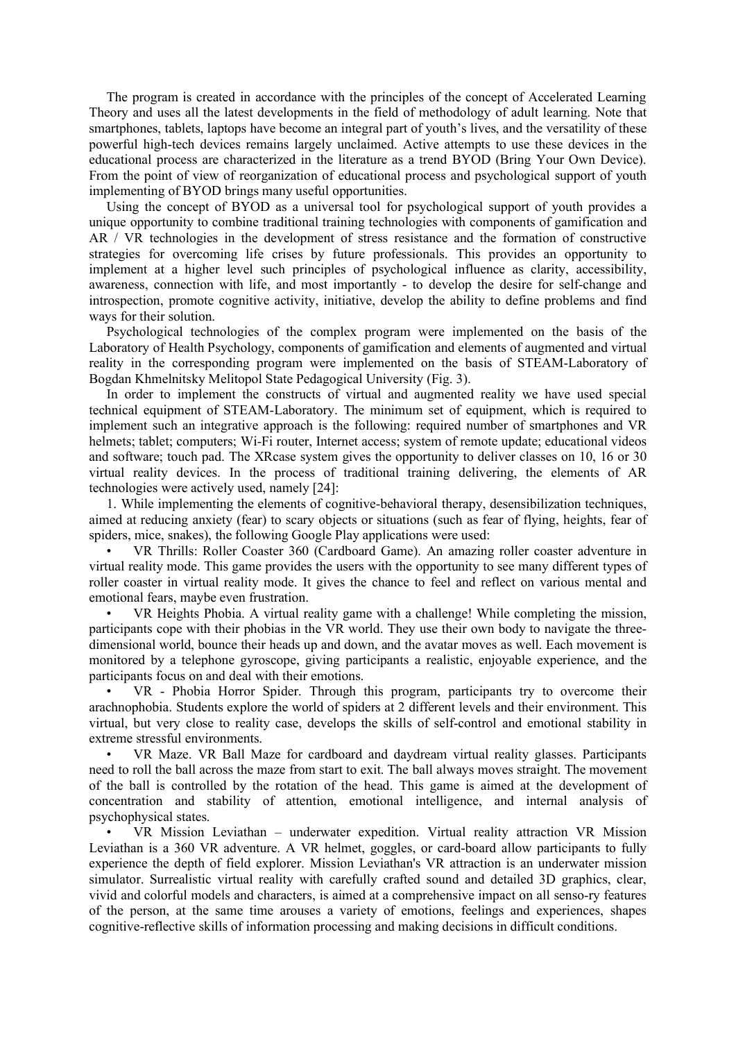The program is created in accordance with the principles of the concept of Accelerated Learning Theory and uses all the latest developments in the field of methodology of adult learning. Note that smartphones, tablets, laptops have become an integral part of youth's lives, and the versatility of these powerful high-tech devices remains largely unclaimed. Active attempts to use these devices in the educational process are characterized in the literature as a trend BYOD (Bring Your Own Device). From the point of view of reorganization of educational process and psychological support of youth implementing of BYOD brings many useful opportunities.

Using the concept of BYOD as a universal tool for psychological support of youth provides a unique opportunity to combine traditional training technologies with components of gamification and AR / VR technologies in the development of stress resistance and the formation of constructive strategies for overcoming life crises by future professionals. This provides an opportunity to implement at a higher level such principles of psychological influence as clarity, accessibility, awareness, connection with life, and most importantly - to develop the desire for self-change and introspection, promote cognitive activity, initiative, develop the ability to define problems and find ways for their solution.

Psychological technologies of the complex program were implemented on the basis of the Laboratory of Health Psychology, components of gamification and elements of augmented and virtual reality in the corresponding program were implemented on the basis of STEAM-Laboratory of Bogdan Khmelnitsky Melitopol State Pedagogical University (Fig. 3).

In order to implement the constructs of virtual and augmented reality we have used special technical equipment of STEAM-Laboratory. The minimum set of equipment, which is required to implement such an integrative approach is the following: required number of smartphones and VR helmets; tablet; computers; Wi-Fi router, Internet access; system of remote update; educational videos and software; touch pad. The XRcase system gives the opportunity to deliver classes on 10, 16 or 30 virtual reality devices. In the process of traditional training delivering, the elements of AR technologies were actively used, namely [24]:

1. While implementing the elements of cognitive-behavioral therapy, desensibilization techniques, aimed at reducing anxiety (fear) to scary objects or situations (such as fear of flying, heights, fear of spiders, mice, snakes), the following Google Play applications were used:

• VR Thrills: Roller Coaster 360 (Cardboard Game). An amazing roller coaster adventure in virtual reality mode. This game provides the users with the opportunity to see many different types of roller coaster in virtual reality mode. It gives the chance to feel and reflect on various mental and emotional fears, maybe even frustration.

• VR Heights Phobia. A virtual reality game with a challenge! While completing the mission, participants cope with their phobias in the VR world. They use their own body to navigate the threedimensional world, bounce their heads up and down, and the avatar moves as well. Each movement is monitored by a telephone gyroscope, giving participants a realistic, enjoyable experience, and the participants focus on and deal with their emotions.

• VR - Phobia Horror Spider. Through this program, participants try to overcome their arachnophobia. Students explore the world of spiders at 2 different levels and their environment. This virtual, but very close to reality case, develops the skills of self-control and emotional stability in extreme stressful environments.

• VR Maze. VR Ball Maze for cardboard and daydream virtual reality glasses. Participants need to roll the ball across the maze from start to exit. The ball always moves straight. The movement of the ball is controlled by the rotation of the head. This game is aimed at the development of concentration and stability of attention, emotional intelligence, and internal analysis of psychophysical states.

• VR Mission Leviathan – underwater expedition. Virtual reality attraction VR Mission Leviathan is a 360 VR adventure. A VR helmet, goggles, or card-board allow participants to fully experience the depth of field explorer. Mission Leviathan's VR attraction is an underwater mission simulator. Surrealistic virtual reality with carefully crafted sound and detailed 3D graphics, clear, vivid and colorful models and characters, is aimed at a comprehensive impact on all senso-ry features of the person, at the same time arouses a variety of emotions, feelings and experiences, shapes cognitive-reflective skills of information processing and making decisions in difficult conditions.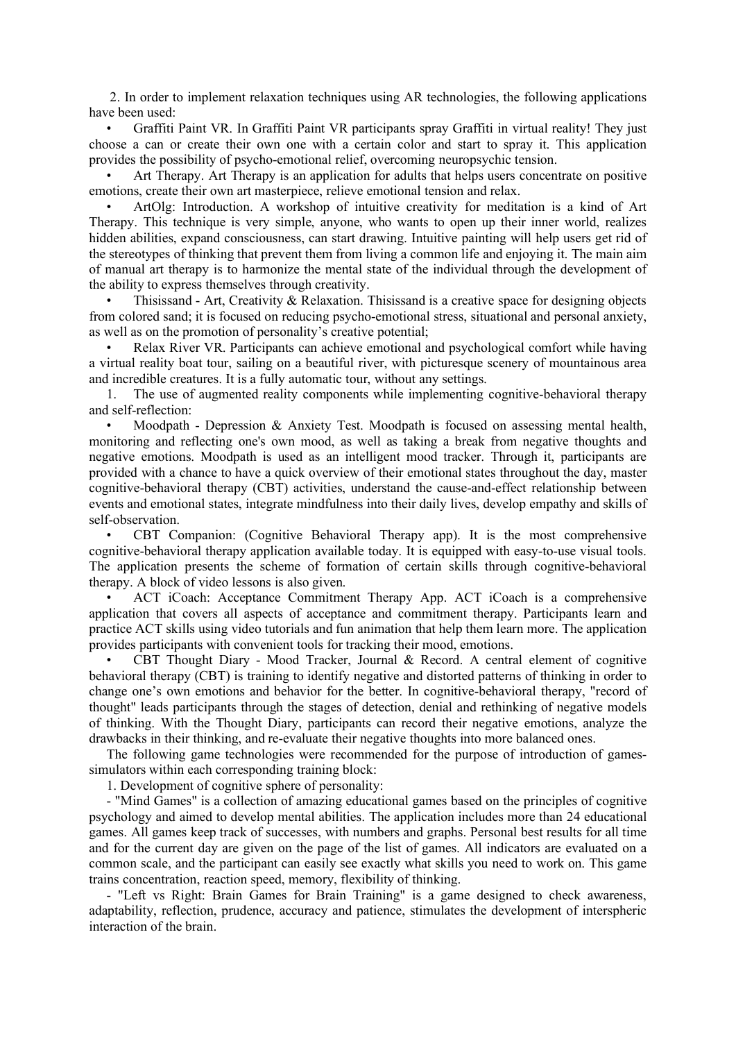2. In order to implement relaxation techniques using AR technologies, the following applications have been used:

• Graffiti Paint VR. In Graffiti Paint VR participants spray Graffiti in virtual reality! They just choose a can or create their own one with a certain color and start to spray it. This application provides the possibility of psycho-emotional relief, overcoming neuropsychic tension.

• Art Therapy. Art Therapy is an application for adults that helps users concentrate on positive emotions, create their own art masterpiece, relieve emotional tension and relax.

• ArtOlg: Introduction. A workshop of intuitive creativity for meditation is a kind of Art Therapy. This technique is very simple, anyone, who wants to open up their inner world, realizes hidden abilities, expand consciousness, can start drawing. Intuitive painting will help users get rid of the stereotypes of thinking that prevent them from living a common life and enjoying it. The main aim of manual art therapy is to harmonize the mental state of the individual through the development of the ability to express themselves through creativity.

• Thisissand - Art, Creativity & Relaxation. Thisissand is a creative space for designing objects from colored sand; it is focused on reducing psycho-emotional stress, situational and personal anxiety, as well as on the promotion of personality's creative potential;

• Relax River VR. Participants can achieve emotional and psychological comfort while having a virtual reality boat tour, sailing on a beautiful river, with picturesque scenery of mountainous area and incredible creatures. It is a fully automatic tour, without any settings.

1. The use of augmented reality components while implementing cognitive-behavioral therapy and self-reflection:

• Moodpath - Depression & Anxiety Test. Moodpath is focused on assessing mental health, monitoring and reflecting one's own mood, as well as taking a break from negative thoughts and negative emotions. Moodpath is used as an intelligent mood tracker. Through it, participants are provided with a chance to have a quick overview of their emotional states throughout the day, master cognitive-behavioral therapy (CBT) activities, understand the cause-and-effect relationship between events and emotional states, integrate mindfulness into their daily lives, develop empathy and skills of self-observation.

• CBT Companion: (Cognitive Behavioral Therapy app). It is the most comprehensive cognitive-behavioral therapy application available today. It is equipped with easy-to-use visual tools. The application presents the scheme of formation of certain skills through cognitive-behavioral therapy. A block of video lessons is also given.

• ACT iCoach: Acceptance Commitment Therapy App. ACT iCoach is a comprehensive application that covers all aspects of acceptance and commitment therapy. Participants learn and practice ACT skills using video tutorials and fun animation that help them learn more. The application provides participants with convenient tools for tracking their mood, emotions.

• CBT Thought Diary - Mood Tracker, Journal & Record. A central element of cognitive behavioral therapy (CBT) is training to identify negative and distorted patterns of thinking in order to change one's own emotions and behavior for the better. In cognitive-behavioral therapy, "record of thought" leads participants through the stages of detection, denial and rethinking of negative models of thinking. With the Thought Diary, participants can record their negative emotions, analyze the drawbacks in their thinking, and re-evaluate their negative thoughts into more balanced ones.

The following game technologies were recommended for the purpose of introduction of gamessimulators within each corresponding training block:

1. Development of cognitive sphere of personality:

- "Mind Games" is a collection of amazing educational games based on the principles of cognitive psychology and aimed to develop mental abilities. The application includes more than 24 educational games. All games keep track of successes, with numbers and graphs. Personal best results for all time and for the current day are given on the page of the list of games. All indicators are evaluated on a common scale, and the participant can easily see exactly what skills you need to work on. This game trains concentration, reaction speed, memory, flexibility of thinking.

- "Left vs Right: Brain Games for Brain Training" is a game designed to check awareness, adaptability, reflection, prudence, accuracy and patience, stimulates the development of interspheric interaction of the brain.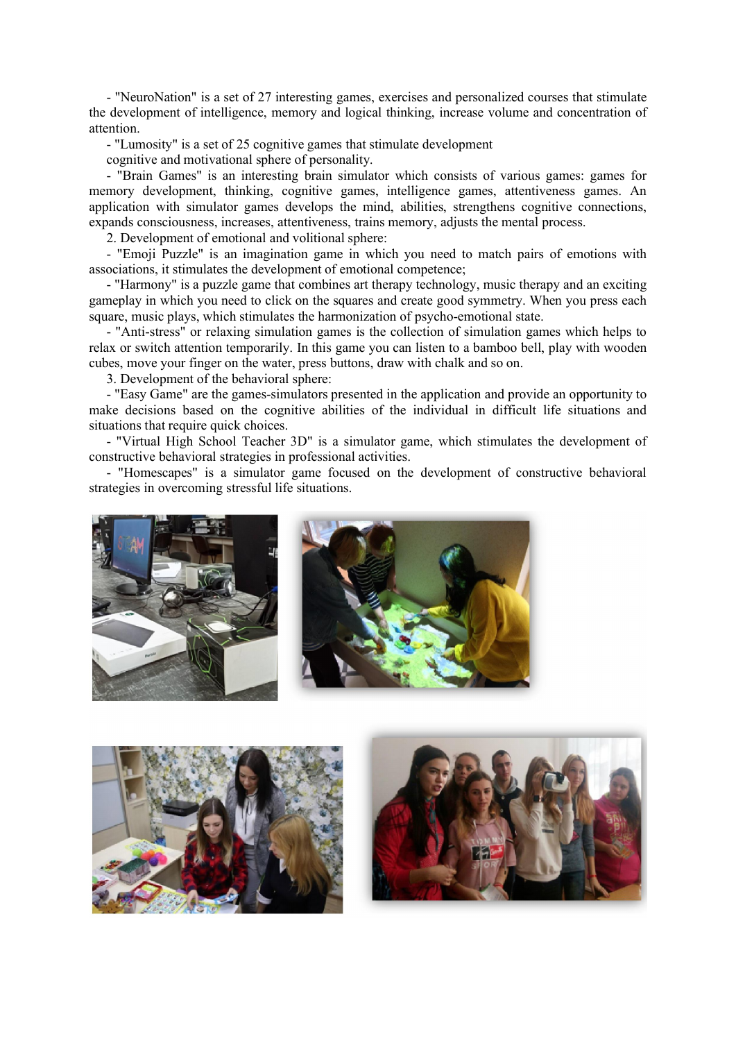- "NeuroNation" is a set of 27 interesting games, exercises and personalized courses that stimulate the development of intelligence, memory and logical thinking, increase volume and concentration of attention.

- "Lumosity" is a set of 25 cognitive games that stimulate development

cognitive and motivational sphere of personality.

- "Brain Games" is an interesting brain simulator which consists of various games: games for memory development, thinking, cognitive games, intelligence games, attentiveness games. An application with simulator games develops the mind, abilities, strengthens cognitive connections, expands consciousness, increases, attentiveness, trains memory, adjusts the mental process.

2. Development of emotional and volitional sphere:

- "Emoji Puzzle" is an imagination game in which you need to match pairs of emotions with associations, it stimulates the development of emotional competence;

- "Harmony" is a puzzle game that combines art therapy technology, music therapy and an exciting gameplay in which you need to click on the squares and create good symmetry. When you press each square, music plays, which stimulates the harmonization of psycho-emotional state.

- "Anti-stress" or relaxing simulation games is the collection of simulation games which helps to relax or switch attention temporarily. In this game you can listen to a bamboo bell, play with wooden cubes, move your finger on the water, press buttons, draw with chalk and so on.

3. Development of the behavioral sphere:

- "Easy Game" are the games-simulators presented in the application and provide an opportunity to make decisions based on the cognitive abilities of the individual in difficult life situations and situations that require quick choices.

- "Virtual High School Teacher 3D" is a simulator game, which stimulates the development of constructive behavioral strategies in professional activities.

- "Homescapes" is a simulator game focused on the development of constructive behavioral strategies in overcoming stressful life situations.





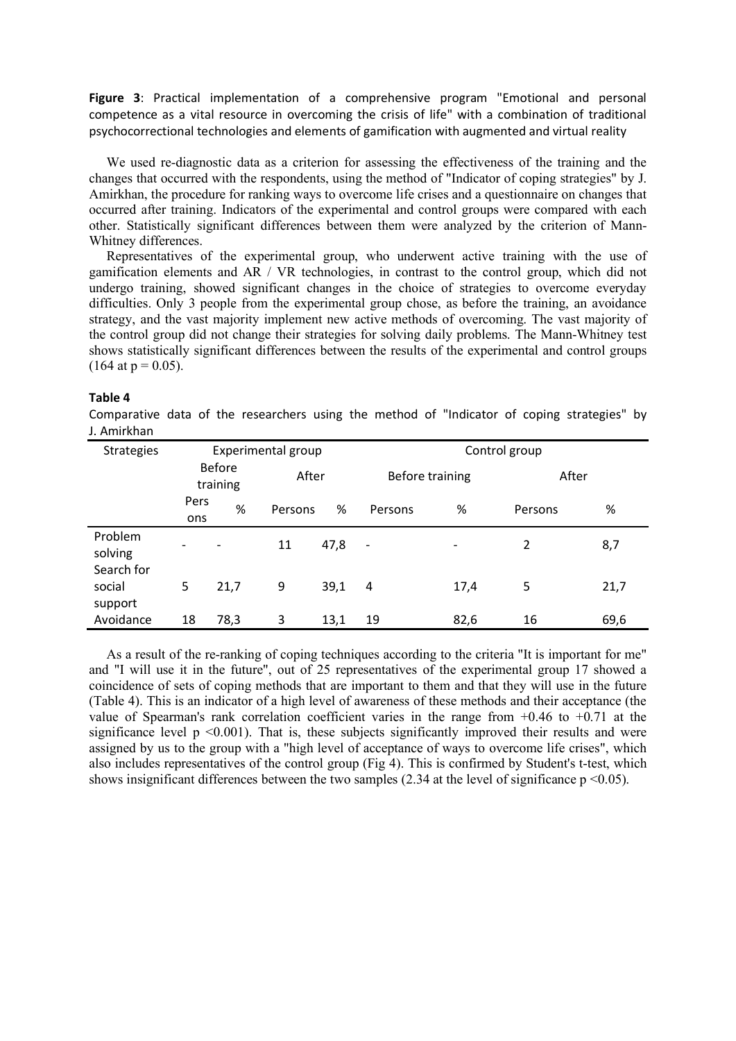Figure 3: Practical implementation of a comprehensive program "Emotional and personal competence as a vital resource in overcoming the crisis of life" with a combination of traditional psychocorrectional technologies and elements of gamification with augmented and virtual reality

We used re-diagnostic data as a criterion for assessing the effectiveness of the training and the changes that occurred with the respondents, using the method of "Indicator of coping strategies" by J. Amirkhan, the procedure for ranking ways to overcome life crises and a questionnaire on changes that occurred after training. Indicators of the experimental and control groups were compared with each other. Statistically significant differences between them were analyzed by the criterion of Mann-Whitney differences.

Representatives of the experimental group, who underwent active training with the use of gamification elements and AR / VR technologies, in contrast to the control group, which did not undergo training, showed significant changes in the choice of strategies to overcome everyday difficulties. Only 3 people from the experimental group chose, as before the training, an avoidance strategy, and the vast majority implement new active methods of overcoming. The vast majority of the control group did not change their strategies for solving daily problems. The Mann-Whitney test shows statistically significant differences between the results of the experimental and control groups  $(164$  at  $p = 0.05)$ .

#### Table 4

Comparative data of the researchers using the method of "Indicator of coping strategies" by J. Amirkhan

| <b>Strategies</b>                |                           |      | Experimental group |      | Control group            |      |                |      |
|----------------------------------|---------------------------|------|--------------------|------|--------------------------|------|----------------|------|
|                                  | <b>Before</b><br>training |      | After              |      | Before training          |      | After          |      |
|                                  | Pers<br>ons               | %    | Persons            | %    | Persons                  | %    | Persons        | %    |
| Problem<br>solving<br>Search for | $\overline{\phantom{0}}$  |      | 11                 | 47,8 | $\overline{\phantom{a}}$ |      | $\overline{2}$ | 8,7  |
| social<br>support                | 5                         | 21,7 | 9                  | 39,1 | 4                        | 17,4 | 5              | 21,7 |
| Avoidance                        | 18                        | 78,3 | 3                  | 13,1 | 19                       | 82,6 | 16             | 69,6 |

As a result of the re-ranking of coping techniques according to the criteria "It is important for me" and "I will use it in the future", out of 25 representatives of the experimental group 17 showed a coincidence of sets of coping methods that are important to them and that they will use in the future (Table 4). This is an indicator of a high level of awareness of these methods and their acceptance (the value of Spearman's rank correlation coefficient varies in the range from  $+0.46$  to  $+0.71$  at the significance level  $p \le 0.001$ ). That is, these subjects significantly improved their results and were assigned by us to the group with a "high level of acceptance of ways to overcome life crises", which also includes representatives of the control group (Fig 4). This is confirmed by Student's t-test, which shows insignificant differences between the two samples  $(2.34$  at the level of significance  $p \le 0.05$ ).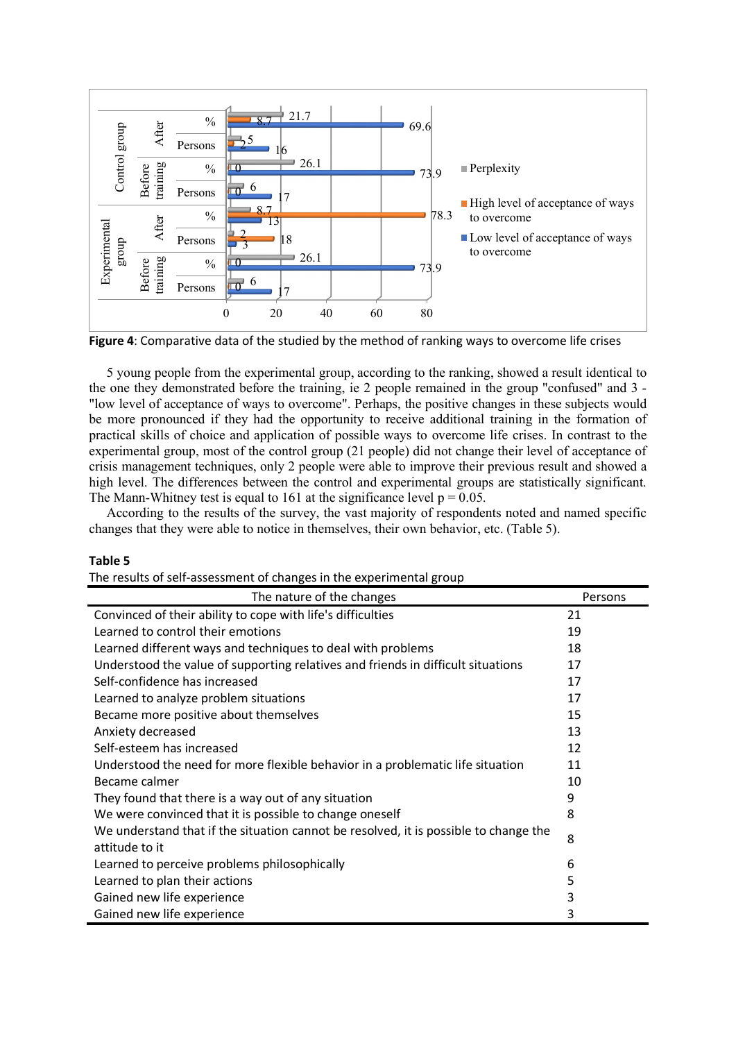

Figure 4: Comparative data of the studied by the method of ranking ways to overcome life crises

5 young people from the experimental group, according to the ranking, showed a result identical to the one they demonstrated before the training, ie 2 people remained in the group "confused" and 3 - "low level of acceptance of ways to overcome". Perhaps, the positive changes in these subjects would be more pronounced if they had the opportunity to receive additional training in the formation of practical skills of choice and application of possible ways to overcome life crises. In contrast to the experimental group, most of the control group (21 people) did not change their level of acceptance of crisis management techniques, only 2 people were able to improve their previous result and showed a high level. The differences between the control and experimental groups are statistically significant. The Mann-Whitney test is equal to 161 at the significance level  $p = 0.05$ .

According to the results of the survey, the vast majority of respondents noted and named specific changes that they were able to notice in themselves, their own behavior, etc. (Table 5).

## Table 5

The results of self-assessment of changes in the experimental group

| The nature of the changes                                                                              | Persons |
|--------------------------------------------------------------------------------------------------------|---------|
| Convinced of their ability to cope with life's difficulties                                            | 21      |
| Learned to control their emotions                                                                      | 19      |
| Learned different ways and techniques to deal with problems                                            | 18      |
| Understood the value of supporting relatives and friends in difficult situations                       | 17      |
| Self-confidence has increased                                                                          | 17      |
| Learned to analyze problem situations                                                                  | 17      |
| Became more positive about themselves                                                                  | 15      |
| Anxiety decreased                                                                                      | 13      |
| Self-esteem has increased                                                                              | 12      |
| Understood the need for more flexible behavior in a problematic life situation                         | 11      |
| Became calmer                                                                                          | 10      |
| They found that there is a way out of any situation                                                    | 9       |
| We were convinced that it is possible to change oneself                                                | 8       |
| We understand that if the situation cannot be resolved, it is possible to change the<br>attitude to it | 8       |
| Learned to perceive problems philosophically                                                           | 6       |
| Learned to plan their actions                                                                          | 5       |
| Gained new life experience                                                                             | 3       |
| Gained new life experience                                                                             | 3       |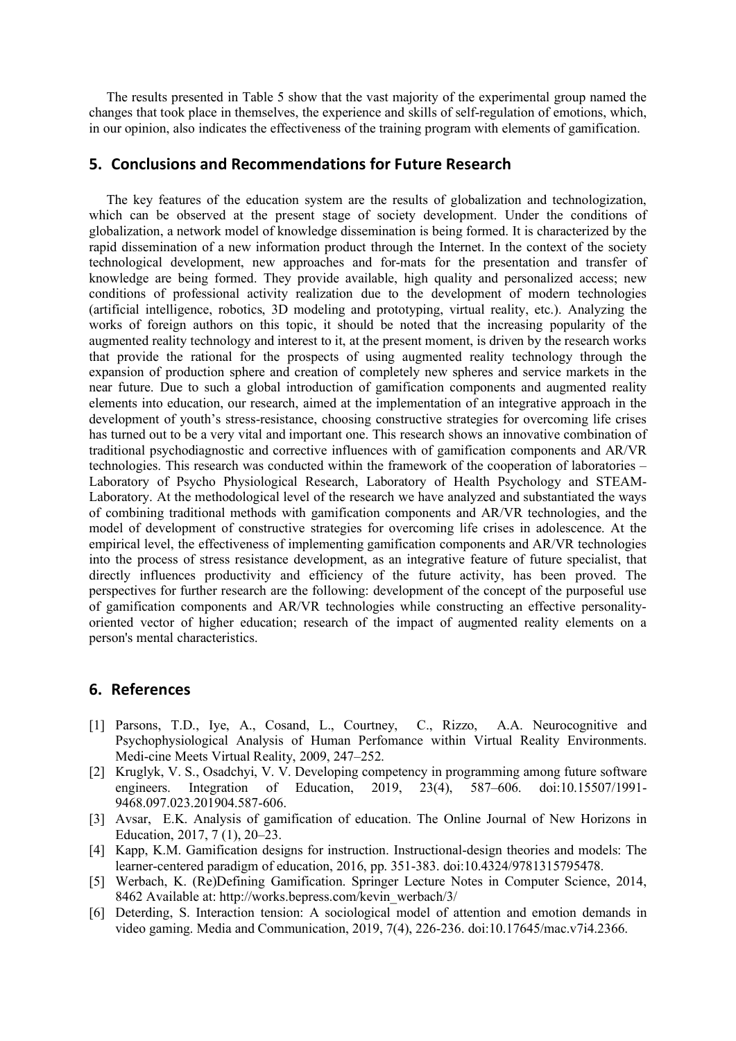The results presented in Table 5 show that the vast majority of the experimental group named the changes that took place in themselves, the experience and skills of self-regulation of emotions, which, in our opinion, also indicates the effectiveness of the training program with elements of gamification.

## 5. Conclusions and Recommendations for Future Research

The key features of the education system are the results of globalization and technologization, which can be observed at the present stage of society development. Under the conditions of globalization, a network model of knowledge dissemination is being formed. It is characterized by the rapid dissemination of a new information product through the Internet. In the context of the society technological development, new approaches and for-mats for the presentation and transfer of knowledge are being formed. They provide available, high quality and personalized access; new conditions of professional activity realization due to the development of modern technologies (artificial intelligence, robotics, 3D modeling and prototyping, virtual reality, etc.). Analyzing the works of foreign authors on this topic, it should be noted that the increasing popularity of the augmented reality technology and interest to it, at the present moment, is driven by the research works that provide the rational for the prospects of using augmented reality technology through the expansion of production sphere and creation of completely new spheres and service markets in the near future. Due to such a global introduction of gamification components and augmented reality elements into education, our research, aimed at the implementation of an integrative approach in the development of youth's stress-resistance, choosing constructive strategies for overcoming life crises has turned out to be a very vital and important one. This research shows an innovative combination of traditional psychodiagnostic and corrective influences with of gamification components and AR/VR technologies. This research was conducted within the framework of the cooperation of laboratories – Laboratory of Psycho Physiological Research, Laboratory of Health Psychology and STEAM-Laboratory. At the methodological level of the research we have analyzed and substantiated the ways of combining traditional methods with gamification components and AR/VR technologies, and the model of development of constructive strategies for overcoming life crises in adolescence. At the empirical level, the effectiveness of implementing gamification components and AR/VR technologies into the process of stress resistance development, as an integrative feature of future specialist, that directly influences productivity and efficiency of the future activity, has been proved. The perspectives for further research are the following: development of the concept of the purposeful use of gamification components and AR/VR technologies while constructing an effective personalityoriented vector of higher education; research of the impact of augmented reality elements on a person's mental characteristics.

## 6. References

- [1] Parsons, T.D., Iye, A., Cosand, L., Courtney, C., Rizzo, A.A. Neurocognitive and Psychophysiological Analysis of Human Perfomance within Virtual Reality Environments. Medi-cine Meets Virtual Reality, 2009, 247–252.
- [2] Kruglyk, V. S., Osadchyi, V. V. Developing competency in programming among future software engineers. Integration of Education, 2019, 23(4), 587–606. doi:10.15507/1991- 9468.097.023.201904.587-606.
- [3] Avsar, E.K. Analysis of gamification of education. The Online Journal of New Horizons in Education, 2017, 7 (1), 20–23.
- [4] Kapp, K.M. Gamification designs for instruction. Instructional-design theories and models: The learner-centered paradigm of education, 2016, pp. 351-383. doi:10.4324/9781315795478.
- [5] Werbach, K. (Re)Defining Gamification. Springer Lecture Notes in Computer Science, 2014, 8462 Available at: http://works.bepress.com/kevin\_werbach/3/
- [6] Deterding, S. Interaction tension: A sociological model of attention and emotion demands in video gaming. Media and Communication, 2019, 7(4), 226-236. doi:10.17645/mac.v7i4.2366.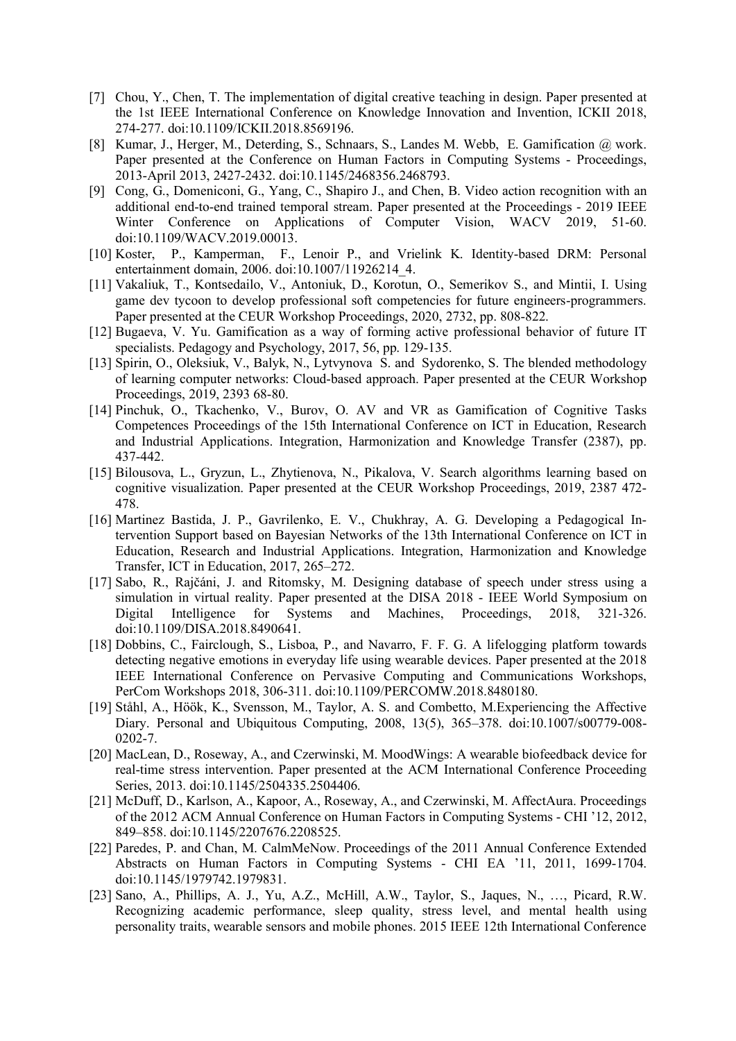- [7] Chou, Y., Chen, T. The implementation of digital creative teaching in design. Paper presented at the 1st IEEE International Conference on Knowledge Innovation and Invention, ICKII 2018, 274-277. doi:10.1109/ICKII.2018.8569196.
- [8] Kumar, J., Herger, M., Deterding, S., Schnaars, S., Landes M. Webb, E. Gamification @ work. Paper presented at the Conference on Human Factors in Computing Systems - Proceedings, 2013-April 2013, 2427-2432. doi:10.1145/2468356.2468793.
- [9] Cong, G., Domeniconi, G., Yang, C., Shapiro J., and Chen, B. Video action recognition with an additional end-to-end trained temporal stream. Paper presented at the Proceedings - 2019 IEEE Winter Conference on Applications of Computer Vision, WACV 2019, 51-60. doi:10.1109/WACV.2019.00013.
- [10] Koster, P., Kamperman, F., Lenoir P., and Vrielink K. Identity-based DRM: Personal entertainment domain, 2006. doi:10.1007/11926214\_4.
- [11] Vakaliuk, T., Kontsedailo, V., Antoniuk, D., Korotun, O., Semerikov S., and Mintii, I. Using game dev tycoon to develop professional soft competencies for future engineers-programmers. Paper presented at the CEUR Workshop Proceedings, 2020, 2732, pp. 808-822.
- [12] Bugaeva, V. Yu. Gamification as a way of forming active professional behavior of future IT specialists. Pedagogy and Psychology, 2017, 56, pp. 129-135.
- [13] Spirin, O., Oleksiuk, V., Balyk, N., Lytvynova S. and Sydorenko, S. The blended methodology of learning computer networks: Cloud-based approach. Paper presented at the CEUR Workshop Proceedings, 2019, 2393 68-80.
- [14] Pinchuk, O., Tkachenko, V., Burov, O. AV and VR as Gamification of Cognitive Tasks Competences Proceedings of the 15th International Conference on ICT in Education, Research and Industrial Applications. Integration, Harmonization and Knowledge Transfer (2387), pp. 437-442.
- [15] Bilousova, L., Gryzun, L., Zhytienova, N., Pikalova, V. Search algorithms learning based on cognitive visualization. Paper presented at the CEUR Workshop Proceedings, 2019, 2387 472- 478.
- [16] Martinez Bastida, J. P., Gavrilenko, E. V., Chukhray, A. G. Developing a Pedagogical Intervention Support based on Bayesian Networks of the 13th International Conference on ICT in Education, Research and Industrial Applications. Integration, Harmonization and Knowledge Transfer, ICT in Education, 2017, 265–272.
- [17] Sabo, R., Rajčáni, J. and Ritomsky, M. Designing database of speech under stress using a simulation in virtual reality. Paper presented at the DISA 2018 - IEEE World Symposium on Digital Intelligence for Systems and Machines, Proceedings, 2018, 321-326. doi:10.1109/DISA.2018.8490641.
- [18] Dobbins, C., Fairclough, S., Lisboa, P., and Navarro, F. F. G. A lifelogging platform towards detecting negative emotions in everyday life using wearable devices. Paper presented at the 2018 IEEE International Conference on Pervasive Computing and Communications Workshops, PerCom Workshops 2018, 306-311. doi:10.1109/PERCOMW.2018.8480180.
- [19] Ståhl, A., Höök, K., Svensson, M., Taylor, A. S. and Combetto, M.Experiencing the Affective Diary. Personal and Ubiquitous Computing, 2008, 13(5), 365–378. doi:10.1007/s00779-008- 0202-7.
- [20] MacLean, D., Roseway, A., and Czerwinski, M. MoodWings: A wearable biofeedback device for real-time stress intervention. Paper presented at the ACM International Conference Proceeding Series, 2013. doi:10.1145/2504335.2504406.
- [21] McDuff, D., Karlson, A., Kapoor, A., Roseway, A., and Czerwinski, M. AffectAura. Proceedings of the 2012 ACM Annual Conference on Human Factors in Computing Systems - CHI '12, 2012, 849–858. doi:10.1145/2207676.2208525.
- [22] Paredes, P. and Chan, M. CalmMeNow. Proceedings of the 2011 Annual Conference Extended Abstracts on Human Factors in Computing Systems - CHI EA '11, 2011, 1699-1704. doi:10.1145/1979742.1979831.
- [23] Sano, A., Phillips, A. J., Yu, A.Z., McHill, A.W., Taylor, S., Jaques, N., …, Picard, R.W. Recognizing academic performance, sleep quality, stress level, and mental health using personality traits, wearable sensors and mobile phones. 2015 IEEE 12th International Conference